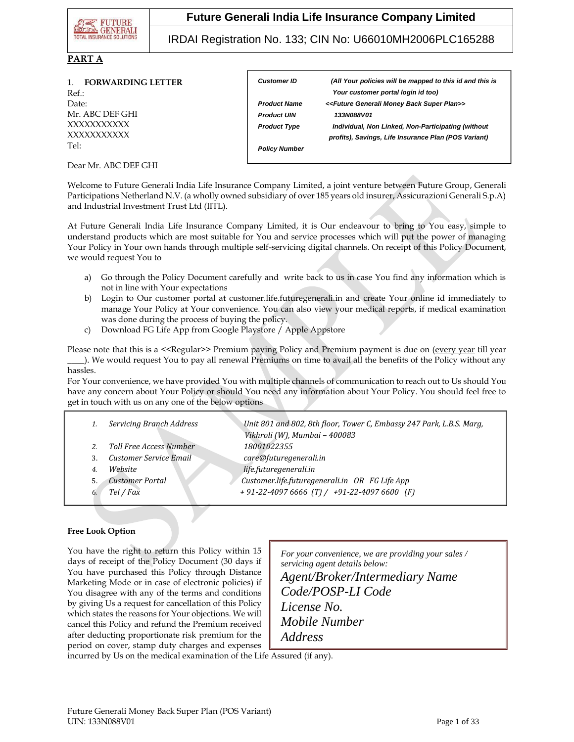

IRDAI Registration No. 133; CIN No: U66010MH2006PLC165288

### **PART A**

|       | 1. FORWARDING LETTER |
|-------|----------------------|
| Ref.: |                      |
| Date: |                      |
|       | Mr. ABC DEF GHI      |
|       | XXXXXXXXXX           |
|       | XXXXXXXXXX           |
| Tel:  |                      |

| <b>Customer ID</b>   | (All Your policies will be mapped to this id and this is              |
|----------------------|-----------------------------------------------------------------------|
|                      | Your customer portal login id too)                                    |
| <b>Product Name</b>  | < <future back="" generali="" money="" plan="" super="">&gt;</future> |
| <b>Product UIN</b>   | 133N088V01                                                            |
| <b>Product Type</b>  | Individual, Non Linked, Non-Participating (without                    |
|                      | profits), Savings, Life Insurance Plan (POS Variant)                  |
| <b>Policy Number</b> |                                                                       |

Dear Mr. ABC DEF GHI

Welcome to Future Generali India Life Insurance Company Limited, a joint venture between Future Group, Generali Participations Netherland N.V. (a wholly owned subsidiary of over 185 years old insurer, Assicurazioni Generali S.p.A) and Industrial Investment Trust Ltd (IITL).

*Premium to be paid for* 

At Future Generali India Life Insurance Company Limited, it is Our endeavour to bring to You easy, simple to understand products which are most suitable for You and service processes which will put the power of managing Your Policy in Your own hands through multiple self-servicing digital channels. On receipt of this Policy Document, we would request You to

- a) Go through the Policy Document carefully and write back to us in case You find any information which is not in line with Your expectations
- b) Login to Our customer portal at customer.life.futuregenerali.in and create Your online id immediately to manage Your Policy at Your convenience. You can also view your medical reports, if medical examination was done during the process of buying the policy.
- c) Download FG Life App from Google Playstore / Apple Appstore

Please note that this is a <<Regular>> Premium paying Policy and Premium payment is due on (every year till year \_\_\_\_). We would request You to pay all renewal Premiums on time to avail all the benefits of the Policy without any hassles.

For Your convenience, we have provided You with multiple channels of communication to reach out to Us should You have any concern about Your Policy or should You need any information about Your Policy. You should feel free to get in touch with us on any one of the below options

|    | Servicing Branch Address | Unit 801 and 802, 8th floor, Tower C, Embassy 247 Park, L.B.S. Marg,<br>Vikhroli (W), Mumbai - 400083 |
|----|--------------------------|-------------------------------------------------------------------------------------------------------|
|    | Toll Free Access Number  | 18001022355                                                                                           |
|    | Customer Service Email   | care@futuregenerali.in                                                                                |
|    | Website                  | life.futuregenerali.in                                                                                |
|    | <b>Customer Portal</b>   | Customer.life.futuregenerali.in OR FG Life App                                                        |
| 6. | Tel / Fax                | $+91-22-40976666$ (T) / $+91-22-40976600$ (F)                                                         |
|    |                          |                                                                                                       |

*Email Id* 

#### **Free Look Option**

You have the right to return this Policy within 15 days of receipt of the Policy Document (30 days if You have purchased this Policy through Distance Marketing Mode or in case of electronic policies) if You disagree with any of the terms and conditions by giving Us a request for cancellation of this Policy which states the reasons for Your objections. We will cancel this Policy and refund the Premium received after deducting proportionate risk premium for the period on cover, stamp duty charges and expenses

*For your convenience, we are providing your sales / servicing agent details below: Agent/Broker/Intermediary Name Code/POSP-LI Code License No. Mobile Number Address*

incurred by Us on the medical examination of the Life Assured (if any).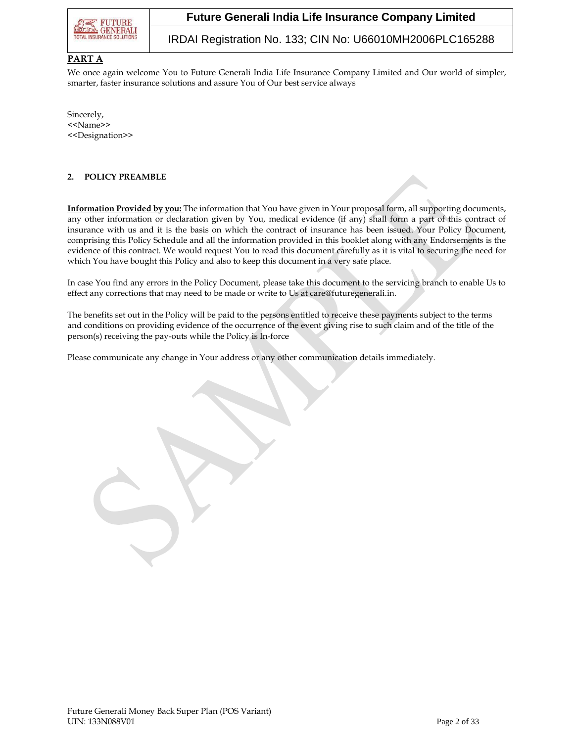

IRDAI Registration No. 133; CIN No: U66010MH2006PLC165288

### **PART A**

We once again welcome You to Future Generali India Life Insurance Company Limited and Our world of simpler, smarter, faster insurance solutions and assure You of Our best service always

Sincerely, <<Name>> <<Designation>>

#### **2. POLICY PREAMBLE**

**Information Provided by you:** The information that You have given in Your proposal form, all supporting documents, any other information or declaration given by You, medical evidence (if any) shall form a part of this contract of insurance with us and it is the basis on which the contract of insurance has been issued. Your Policy Document, comprising this Policy Schedule and all the information provided in this booklet along with any Endorsements is the evidence of this contract. We would request You to read this document carefully as it is vital to securing the need for which You have bought this Policy and also to keep this document in a very safe place.

In case You find any errors in the Policy Document, please take this document to the servicing branch to enable Us to effect any corrections that may need to be made or write to Us at care@futuregenerali.in.

The benefits set out in the Policy will be paid to the persons entitled to receive these payments subject to the terms and conditions on providing evidence of the occurrence of the event giving rise to such claim and of the title of the person(s) receiving the pay-outs while the Policy is In-force

Please communicate any change in Your address or any other communication details immediately.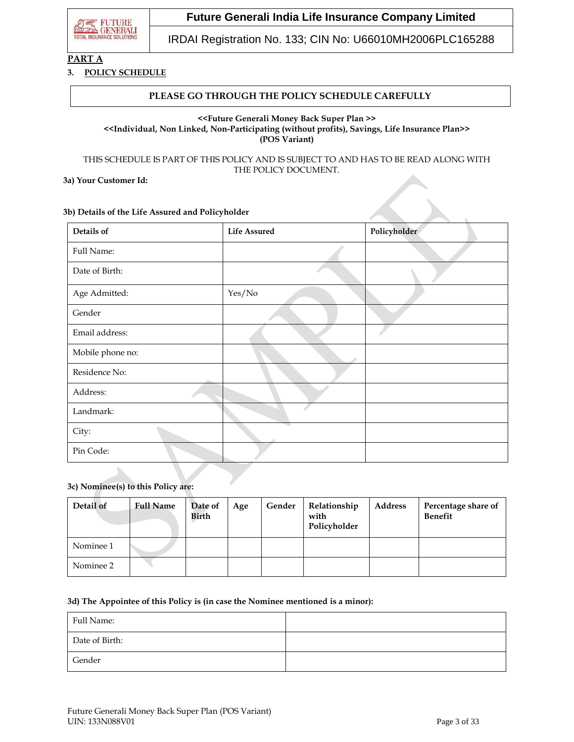

IRDAI Registration No. 133; CIN No: U66010MH2006PLC165288

# **PART A**

#### **3. POLICY SCHEDULE**

#### **PLEASE GO THROUGH THE POLICY SCHEDULE CAREFULLY**

#### **<<Future Generali Money Back Super Plan >> <<Individual, Non Linked, Non-Participating (without profits), Savings, Life Insurance Plan>> (POS Variant)**

THIS SCHEDULE IS PART OF THIS POLICY AND IS SUBJECT TO AND HAS TO BE READ ALONG WITH THE POLICY DOCUMENT.

#### **3a) Your Customer Id:**

#### **3b) Details of the Life Assured and Policyholder**

| Details of       | <b>Life Assured</b> | Policyholder |
|------------------|---------------------|--------------|
| Full Name:       |                     |              |
| Date of Birth:   |                     |              |
| Age Admitted:    | Yes/No              |              |
| Gender           |                     |              |
| Email address:   |                     |              |
| Mobile phone no: |                     |              |
| Residence No:    |                     |              |
| Address:         |                     |              |
| Landmark:        |                     |              |
| City:            |                     |              |
| Pin Code:        |                     |              |

#### **3c) Nominee(s) to this Policy are:**

| Detail of | <b>Full Name</b> | Date of<br>Birth | Age | Gender | Relationship<br>with<br>Policyholder | <b>Address</b> | Percentage share of<br><b>Benefit</b> |
|-----------|------------------|------------------|-----|--------|--------------------------------------|----------------|---------------------------------------|
| Nominee 1 |                  |                  |     |        |                                      |                |                                       |
| Nominee 2 |                  |                  |     |        |                                      |                |                                       |

#### **3d) The Appointee of this Policy is (in case the Nominee mentioned is a minor):**

| Full Name:     |  |
|----------------|--|
| Date of Birth: |  |
| Gender         |  |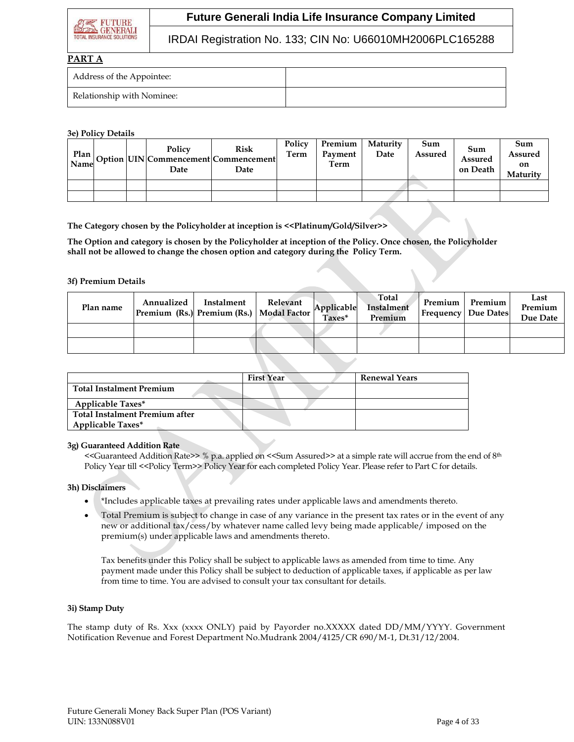

## IRDAI Registration No. 133; CIN No: U66010MH2006PLC165288

## **PART A**

| Address of the Appointee:  |  |
|----------------------------|--|
| Relationship with Nominee: |  |

#### **3e) Policy Details**

|  | Policy<br>Date | Risk<br>$\frac{1}{\text{Name}}$ Option UIN Commencement Commencement<br>Date | Policy<br>Term | Premium<br>Payment<br>Term | Maturity<br>Date | Sum<br>Assured | Sum<br>Assured<br>on Death | Sum<br><b>Assured</b><br>on<br>Maturity |
|--|----------------|------------------------------------------------------------------------------|----------------|----------------------------|------------------|----------------|----------------------------|-----------------------------------------|
|  |                |                                                                              |                |                            |                  |                |                            |                                         |
|  |                |                                                                              |                |                            |                  |                |                            |                                         |

**The Category chosen by the Policyholder at inception is <<Platinum/Gold/Silver>>**

**The Option and category is chosen by the Policyholder at inception of the Policy. Once chosen, the Policyholder shall not be allowed to change the chosen option and category during the Policy Term.**

#### **3f) Premium Details**

| Plan name | Annualized | Instalment<br>Premium (Rs.) Premium (Rs.)   Modal Factor | Relevant | Applicable<br>Taxes* | Total<br>Instalment<br>Premium | Premium | Premium<br><b>Frequency Due Dates</b> | Last<br>Premium<br>Due Date |
|-----------|------------|----------------------------------------------------------|----------|----------------------|--------------------------------|---------|---------------------------------------|-----------------------------|
|           |            |                                                          |          |                      |                                |         |                                       |                             |
|           |            |                                                          |          |                      |                                |         |                                       |                             |

|                                 | <b>First Year</b> | <b>Renewal Years</b> |
|---------------------------------|-------------------|----------------------|
| <b>Total Instalment Premium</b> |                   |                      |
| Applicable Taxes*               |                   |                      |
| Total Instalment Premium after  |                   |                      |
| <b>Applicable Taxes*</b>        |                   |                      |

#### **3g) Guaranteed Addition Rate**

<<Guaranteed Addition Rate>> % p.a. applied on <<Sum Assured>> at a simple rate will accrue from the end of 8th Policy Year till <<Policy Term>> Policy Year for each completed Policy Year. Please refer to Part C for details.

#### **3h) Disclaimers**

- \*Includes applicable taxes at prevailing rates under applicable laws and amendments thereto.
- Total Premium is subject to change in case of any variance in the present tax rates or in the event of any new or additional tax/cess/by whatever name called levy being made applicable/ imposed on the premium(s) under applicable laws and amendments thereto.

Tax benefits under this Policy shall be subject to applicable laws as amended from time to time. Any payment made under this Policy shall be subject to deduction of applicable taxes, if applicable as per law from time to time. You are advised to consult your tax consultant for details.

#### **3i) Stamp Duty**

The stamp duty of Rs. Xxx (xxxx ONLY) paid by Payorder no.XXXXX dated DD/MM/YYYY. Government Notification Revenue and Forest Department No.Mudrank 2004/4125/CR 690/M-1, Dt.31/12/2004.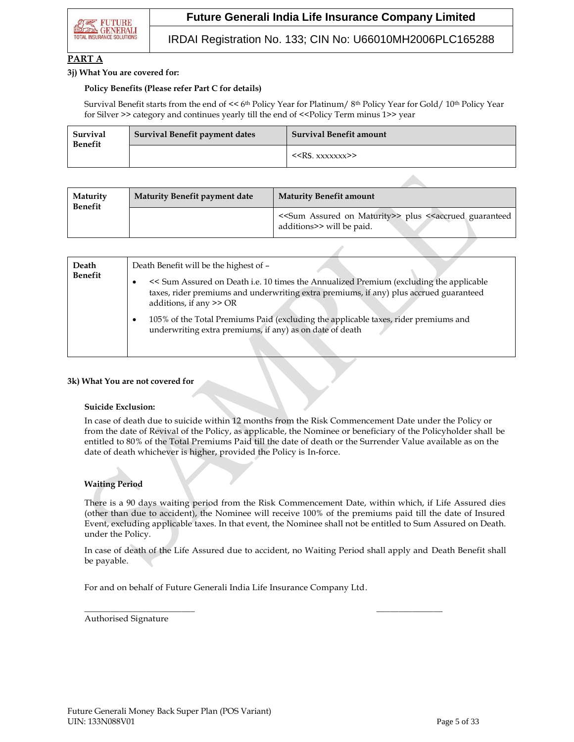# IRDAI Registration No. 133; CIN No: U66010MH2006PLC165288

## **PART A**

#### **3j) What You are covered for:**

#### **Policy Benefits (Please refer Part C for details)**

Survival Benefit starts from the end of << 6<sup>th</sup> Policy Year for Platinum/ 8<sup>th</sup> Policy Year for Gold/ 10<sup>th</sup> Policy Year for Silver >> category and continues yearly till the end of <<Policy Term minus 1>> year

| Survival<br><b>Benefit</b> | Survival Benefit payment dates | <b>Survival Benefit amount</b> |
|----------------------------|--------------------------------|--------------------------------|
|                            |                                | < <rs. xxxxxxx="">&gt;</rs.>   |

| Maturity<br><b>Benefit</b> | Maturity Benefit payment date | <b>Maturity Benefit amount</b>                                                                                              |
|----------------------------|-------------------------------|-----------------------------------------------------------------------------------------------------------------------------|
|                            |                               | < <sum assured="" maturity="" on="">&gt; plus &lt;<accrued guaranteed<br="">additions&gt;&gt; will be paid.</accrued></sum> |

| Death<br><b>Benefit</b> | Death Benefit will be the highest of -                                                                                                                                                                             |
|-------------------------|--------------------------------------------------------------------------------------------------------------------------------------------------------------------------------------------------------------------|
|                         | << Sum Assured on Death i.e. 10 times the Annualized Premium (excluding the applicable<br>٠<br>taxes, rider premiums and underwriting extra premiums, if any) plus accrued guaranteed<br>additions, if any $>>$ OR |
|                         | 105% of the Total Premiums Paid (excluding the applicable taxes, rider premiums and<br>٠<br>underwriting extra premiums, if any) as on date of death                                                               |

#### **3k) What You are not covered for**

#### **Suicide Exclusion:**

In case of death due to suicide within 12 months from the Risk Commencement Date under the Policy or from the date of Revival of the Policy, as applicable, the Nominee or beneficiary of the Policyholder shall be entitled to 80% of the Total Premiums Paid till the date of death or the Surrender Value available as on the date of death whichever is higher, provided the Policy is In-force.

## **Waiting Period**

There is a 90 days waiting period from the Risk Commencement Date, within which, if Life Assured dies (other than due to accident), the Nominee will receive 100% of the premiums paid till the date of Insured Event, excluding applicable taxes. In that event, the Nominee shall not be entitled to Sum Assured on Death. under the Policy.

In case of death of the Life Assured due to accident, no Waiting Period shall apply and Death Benefit shall be payable.

For and on behalf of Future Generali India Life Insurance Company Ltd.

 $\overline{\phantom{a}}$  , and the contract of the contract of the contract of the contract of the contract of the contract of the contract of the contract of the contract of the contract of the contract of the contract of the contrac

Authorised Signature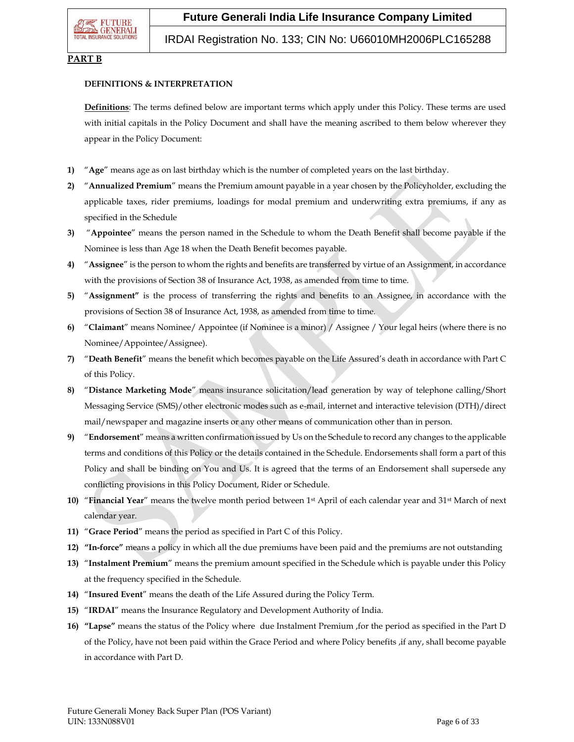## IRDAI Registration No. 133; CIN No: U66010MH2006PLC165288

## **PART B**

#### **DEFINITIONS & INTERPRETATION**

**Definitions**: The terms defined below are important terms which apply under this Policy. These terms are used with initial capitals in the Policy Document and shall have the meaning ascribed to them below wherever they appear in the Policy Document:

- **1)** "**Age**" means age as on last birthday which is the number of completed years on the last birthday.
- **2)** "**Annualized Premium**" means the Premium amount payable in a year chosen by the Policyholder, excluding the applicable taxes, rider premiums, loadings for modal premium and underwriting extra premiums, if any as specified in the Schedule
- **3)** "**Appointee**" means the person named in the Schedule to whom the Death Benefit shall become payable if the Nominee is less than Age 18 when the Death Benefit becomes payable.
- **4)** "**Assignee**" is the person to whom the rights and benefits are transferred by virtue of an Assignment, in accordance with the provisions of Section 38 of Insurance Act, 1938, as amended from time to time.
- **5)** "**Assignment"** is the process of transferring the rights and benefits to an Assignee, in accordance with the provisions of Section 38 of Insurance Act, 1938, as amended from time to time.
- **6)** "**Claimant**" means Nominee/ Appointee (if Nominee is a minor) / Assignee / Your legal heirs (where there is no Nominee/Appointee/Assignee).
- **7)** "**Death Benefit**" means the benefit which becomes payable on the Life Assured's death in accordance with Part C of this Policy.
- **8)** "**Distance Marketing Mode**" means insurance solicitation/lead generation by way of telephone calling/Short Messaging Service (SMS)/other electronic modes such as e-mail, internet and interactive television (DTH)/direct mail/newspaper and magazine inserts or any other means of communication other than in person.
- **9)** "**Endorsement**" means a written confirmation issued by Us on the Schedule to record any changes to the applicable terms and conditions of this Policy or the details contained in the Schedule. Endorsements shall form a part of this Policy and shall be binding on You and Us. It is agreed that the terms of an Endorsement shall supersede any conflicting provisions in this Policy Document, Rider or Schedule.
- **10)** "**Financial Year**" means the twelve month period between 1st April of each calendar year and 31st March of next calendar year.
- **11)** "**Grace Period**" means the period as specified in Part C of this Policy.
- **12) "In-force"** means a policy in which all the due premiums have been paid and the premiums are not outstanding
- **13)** "**Instalment Premium**" means the premium amount specified in the Schedule which is payable under this Policy at the frequency specified in the Schedule.
- **14)** "**Insured Event**" means the death of the Life Assured during the Policy Term.
- **15)** "**IRDAI**" means the Insurance Regulatory and Development Authority of India.
- **16) "Lapse"** means the status of the Policy where due Instalment Premium ,for the period as specified in the Part D of the Policy, have not been paid within the Grace Period and where Policy benefits ,if any, shall become payable in accordance with Part D.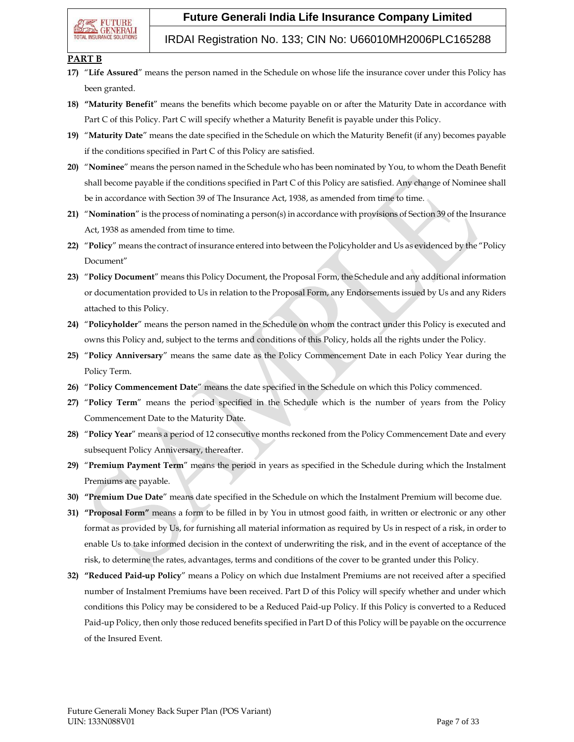## IRDAI Registration No. 133; CIN No: U66010MH2006PLC165288

## **PART B**

- **17)** "**Life Assured**" means the person named in the Schedule on whose life the insurance cover under this Policy has been granted.
- **18) "Maturity Benefit**" means the benefits which become payable on or after the Maturity Date in accordance with Part C of this Policy. Part C will specify whether a Maturity Benefit is payable under this Policy.
- **19)** "**Maturity Date**" means the date specified in the Schedule on which the Maturity Benefit (if any) becomes payable if the conditions specified in Part C of this Policy are satisfied.
- **20)** "**Nominee**" means the person named in the Schedule who has been nominated by You, to whom the Death Benefit shall become payable if the conditions specified in Part C of this Policy are satisfied. Any change of Nominee shall be in accordance with Section 39 of The Insurance Act, 1938, as amended from time to time.
- **21)** "**Nomination**" is the process of nominating a person(s) in accordance with provisions of Section 39 of the Insurance Act, 1938 as amended from time to time.
- **22)** "**Policy**" means the contract of insurance entered into between the Policyholder and Us as evidenced by the "Policy Document"
- **23)** "**Policy Document**" means this Policy Document, the Proposal Form, the Schedule and any additional information or documentation provided to Us in relation to the Proposal Form, any Endorsements issued by Us and any Riders attached to this Policy.
- **24)** "**Policyholder**" means the person named in the Schedule on whom the contract under this Policy is executed and owns this Policy and, subject to the terms and conditions of this Policy, holds all the rights under the Policy.
- **25)** "**Policy Anniversary**" means the same date as the Policy Commencement Date in each Policy Year during the Policy Term.
- **26)** "**Policy Commencement Date**" means the date specified in the Schedule on which this Policy commenced.
- **27)** "**Policy Term**" means the period specified in the Schedule which is the number of years from the Policy Commencement Date to the Maturity Date.
- **28)** "**Policy Year**" means a period of 12 consecutive months reckoned from the Policy Commencement Date and every subsequent Policy Anniversary, thereafter.
- **29)** "**Premium Payment Term**" means the period in years as specified in the Schedule during which the Instalment Premiums are payable.
- **30) "Premium Due Date**" means date specified in the Schedule on which the Instalment Premium will become due.
- **31) "Proposal Form"** means a form to be filled in by You in utmost good faith, in written or electronic or any other format as provided by Us, for furnishing all material information as required by Us in respect of a risk, in order to enable Us to take informed decision in the context of underwriting the risk, and in the event of acceptance of the risk, to determine the rates, advantages, terms and conditions of the cover to be granted under this Policy.
- **32) "Reduced Paid-up Policy**" means a Policy on which due Instalment Premiums are not received after a specified number of Instalment Premiums have been received. Part D of this Policy will specify whether and under which conditions this Policy may be considered to be a Reduced Paid-up Policy. If this Policy is converted to a Reduced Paid-up Policy, then only those reduced benefits specified in Part D of this Policy will be payable on the occurrence of the Insured Event.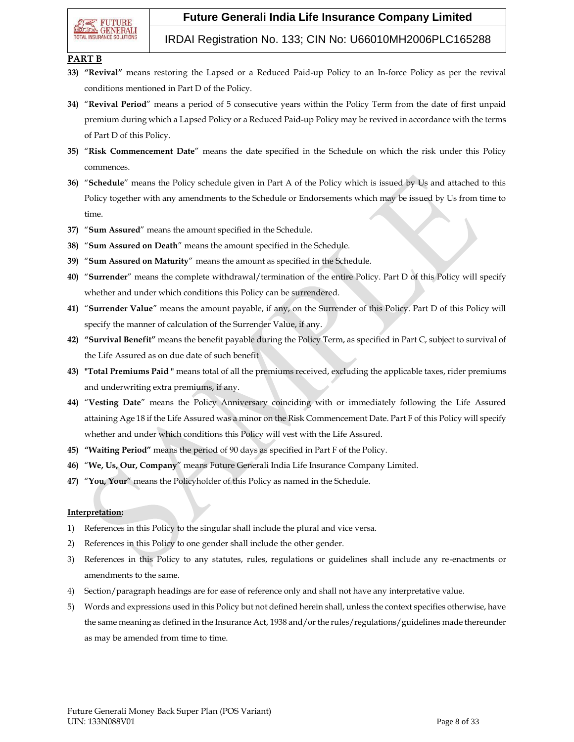## IRDAI Registration No. 133; CIN No: U66010MH2006PLC165288

## **PART B**

- **33) "Revival"** means restoring the Lapsed or a Reduced Paid-up Policy to an In-force Policy as per the revival conditions mentioned in Part D of the Policy.
- **34)** "**Revival Period**" means a period of 5 consecutive years within the Policy Term from the date of first unpaid premium during which a Lapsed Policy or a Reduced Paid-up Policy may be revived in accordance with the terms of Part D of this Policy.
- **35)** "**Risk Commencement Date**" means the date specified in the Schedule on which the risk under this Policy commences.
- **36)** "**Schedule**" means the Policy schedule given in Part A of the Policy which is issued by Us and attached to this Policy together with any amendments to the Schedule or Endorsements which may be issued by Us from time to time.
- **37)** "**Sum Assured**" means the amount specified in the Schedule.
- **38)** "**Sum Assured on Death**" means the amount specified in the Schedule.
- **39)** "**Sum Assured on Maturity**" means the amount as specified in the Schedule.
- **40)** "**Surrender**" means the complete withdrawal/termination of the entire Policy. Part D of this Policy will specify whether and under which conditions this Policy can be surrendered.
- **41)** "**Surrender Value**" means the amount payable, if any, on the Surrender of this Policy. Part D of this Policy will specify the manner of calculation of the Surrender Value, if any.
- **42) "Survival Benefit"** means the benefit payable during the Policy Term, as specified in Part C, subject to survival of the Life Assured as on due date of such benefit
- **43) "Total Premiums Paid "** means total of all the premiums received, excluding the applicable taxes, rider premiums and underwriting extra premiums, if any.
- **44)** "**Vesting Date**" means the Policy Anniversary coinciding with or immediately following the Life Assured attaining Age 18 if the Life Assured was a minor on the Risk Commencement Date. Part F of this Policy will specify whether and under which conditions this Policy will vest with the Life Assured.
- **45) "Waiting Period"** means the period of 90 days as specified in Part F of the Policy.
- **46)** "**We, Us, Our, Company**" means Future Generali India Life Insurance Company Limited.
- **47)** "**You, Your**" means the Policyholder of this Policy as named in the Schedule.

#### **Interpretation:**

- 1) References in this Policy to the singular shall include the plural and vice versa.
- 2) References in this Policy to one gender shall include the other gender.
- 3) References in this Policy to any statutes, rules, regulations or guidelines shall include any re-enactments or amendments to the same.
- 4) Section/paragraph headings are for ease of reference only and shall not have any interpretative value.
- 5) Words and expressions used in this Policy but not defined herein shall, unless the context specifies otherwise, have the same meaning as defined in the Insurance Act, 1938 and/or the rules/regulations/guidelines made thereunder as may be amended from time to time.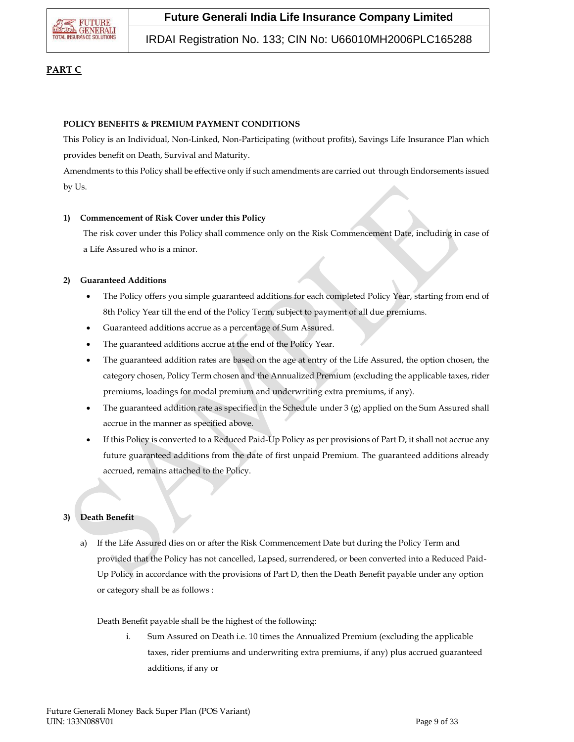

IRDAI Registration No. 133; CIN No: U66010MH2006PLC165288

## **PART C**

### **POLICY BENEFITS & PREMIUM PAYMENT CONDITIONS**

This Policy is an Individual, Non-Linked, Non-Participating (without profits), Savings Life Insurance Plan which provides benefit on Death, Survival and Maturity.

Amendments to this Policy shall be effective only if such amendments are carried out through Endorsements issued by Us.

#### **1) Commencement of Risk Cover under this Policy**

The risk cover under this Policy shall commence only on the Risk Commencement Date, including in case of a Life Assured who is a minor.

#### **2) Guaranteed Additions**

- The Policy offers you simple guaranteed additions for each completed Policy Year, starting from end of 8th Policy Year till the end of the Policy Term, subject to payment of all due premiums.
- Guaranteed additions accrue as a percentage of Sum Assured.
- The guaranteed additions accrue at the end of the Policy Year.
- The guaranteed addition rates are based on the age at entry of the Life Assured, the option chosen, the category chosen, Policy Term chosen and the Annualized Premium (excluding the applicable taxes, rider premiums, loadings for modal premium and underwriting extra premiums, if any).
- The guaranteed addition rate as specified in the Schedule under 3  $(g)$  applied on the Sum Assured shall accrue in the manner as specified above.
- If this Policy is converted to a Reduced Paid-Up Policy as per provisions of Part D, it shall not accrue any future guaranteed additions from the date of first unpaid Premium. The guaranteed additions already accrued, remains attached to the Policy.

## **3) Death Benefit**

a) If the Life Assured dies on or after the Risk Commencement Date but during the Policy Term and provided that the Policy has not cancelled, Lapsed, surrendered, or been converted into a Reduced Paid-Up Policy in accordance with the provisions of Part D, then the Death Benefit payable under any option or category shall be as follows :

Death Benefit payable shall be the highest of the following:

i. Sum Assured on Death i.e. 10 times the Annualized Premium (excluding the applicable taxes, rider premiums and underwriting extra premiums, if any) plus accrued guaranteed additions, if any or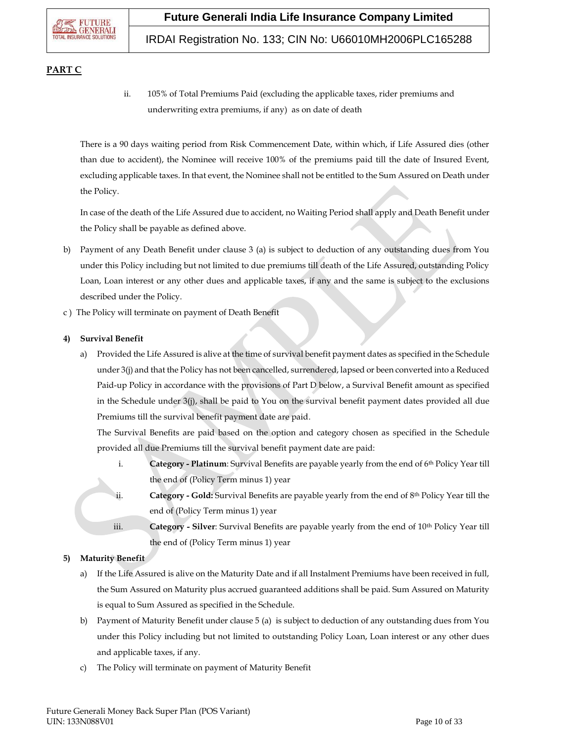

# IRDAI Registration No. 133; CIN No: U66010MH2006PLC165288

## **PART C**

ii. 105% of Total Premiums Paid (excluding the applicable taxes, rider premiums and underwriting extra premiums, if any) as on date of death

There is a 90 days waiting period from Risk Commencement Date, within which, if Life Assured dies (other than due to accident), the Nominee will receive 100% of the premiums paid till the date of Insured Event, excluding applicable taxes. In that event, the Nominee shall not be entitled to the Sum Assured on Death under the Policy.

In case of the death of the Life Assured due to accident, no Waiting Period shall apply and Death Benefit under the Policy shall be payable as defined above.

- b) Payment of any Death Benefit under clause 3 (a) is subject to deduction of any outstanding dues from You under this Policy including but not limited to due premiums till death of the Life Assured, outstanding Policy Loan, Loan interest or any other dues and applicable taxes, if any and the same is subject to the exclusions described under the Policy.
- c ) The Policy will terminate on payment of Death Benefit

## **4) Survival Benefit**

a) Provided the Life Assured is alive at the time of survival benefit payment dates as specified in the Schedule under 3(j) and that the Policy has not been cancelled, surrendered, lapsed or been converted into a Reduced Paid-up Policy in accordance with the provisions of Part D below, a Survival Benefit amount as specified in the Schedule under 3(j), shall be paid to You on the survival benefit payment dates provided all due Premiums till the survival benefit payment date are paid.

The Survival Benefits are paid based on the option and category chosen as specified in the Schedule provided all due Premiums till the survival benefit payment date are paid:

- i. **Category - Platinum**: Survival Benefits are payable yearly from the end of 6th Policy Year till the end of (Policy Term minus 1) year
- ii. **Category - Gold:** Survival Benefits are payable yearly from the end of 8th Policy Year till the end of (Policy Term minus 1) year
- iii. **Category - Silver**: Survival Benefits are payable yearly from the end of 10th Policy Year till the end of (Policy Term minus 1) year

## **5) Maturity Benefit**

- a) If the Life Assured is alive on the Maturity Date and if all Instalment Premiums have been received in full, the Sum Assured on Maturity plus accrued guaranteed additions shall be paid. Sum Assured on Maturity is equal to Sum Assured as specified in the Schedule.
- b) Payment of Maturity Benefit under clause 5 (a) is subject to deduction of any outstanding dues from You under this Policy including but not limited to outstanding Policy Loan, Loan interest or any other dues and applicable taxes, if any.
- c) The Policy will terminate on payment of Maturity Benefit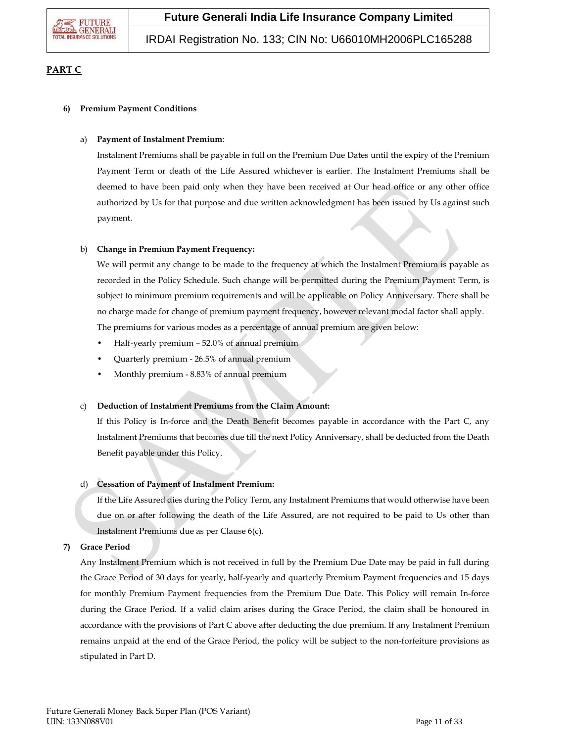

IRDAI Registration No. 133; CIN No: U66010MH2006PLC165288

## **PART C**

## **6) Premium Payment Conditions**

## a) **Payment of Instalment Premium**:

Instalment Premiums shall be payable in full on the Premium Due Dates until the expiry of the Premium Payment Term or death of the Life Assured whichever is earlier. The Instalment Premiums shall be deemed to have been paid only when they have been received at Our head office or any other office authorized by Us for that purpose and due written acknowledgment has been issued by Us against such payment.

## b) **Change in Premium Payment Frequency:**

We will permit any change to be made to the frequency at which the Instalment Premium is payable as recorded in the Policy Schedule. Such change will be permitted during the Premium Payment Term, is subject to minimum premium requirements and will be applicable on Policy Anniversary. There shall be no charge made for change of premium payment frequency, however relevant modal factor shall apply. The premiums for various modes as a percentage of annual premium are given below:

- Half-yearly premium 52.0% of annual premium
- Quarterly premium 26.5% of annual premium
- Monthly premium 8.83% of annual premium

## c) **Deduction of Instalment Premiums from the Claim Amount:**

If this Policy is In-force and the Death Benefit becomes payable in accordance with the Part C, any Instalment Premiums that becomes due till the next Policy Anniversary, shall be deducted from the Death Benefit payable under this Policy.

## d) **Cessation of Payment of Instalment Premium:**

If the Life Assured dies during the Policy Term, any Instalment Premiums that would otherwise have been due on or after following the death of the Life Assured, are not required to be paid to Us other than Instalment Premiums due as per Clause 6(c).

## **7) Grace Period**

Any Instalment Premium which is not received in full by the Premium Due Date may be paid in full during the Grace Period of 30 days for yearly, half-yearly and quarterly Premium Payment frequencies and 15 days for monthly Premium Payment frequencies from the Premium Due Date. This Policy will remain In-force during the Grace Period. If a valid claim arises during the Grace Period, the claim shall be honoured in accordance with the provisions of Part C above after deducting the due premium. If any Instalment Premium remains unpaid at the end of the Grace Period, the policy will be subject to the non-forfeiture provisions as stipulated in Part D.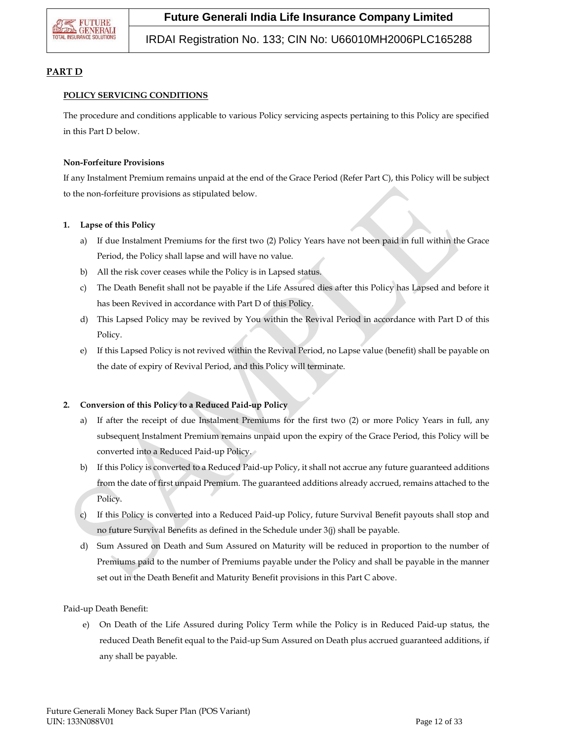

# IRDAI Registration No. 133; CIN No: U66010MH2006PLC165288

## **PART D**

## **POLICY SERVICING CONDITIONS**

The procedure and conditions applicable to various Policy servicing aspects pertaining to this Policy are specified in this Part D below.

#### **Non-Forfeiture Provisions**

If any Instalment Premium remains unpaid at the end of the Grace Period (Refer Part C), this Policy will be subject to the non-forfeiture provisions as stipulated below.

#### **1. Lapse of this Policy**

- a) If due Instalment Premiums for the first two (2) Policy Years have not been paid in full within the Grace Period, the Policy shall lapse and will have no value.
- b) All the risk cover ceases while the Policy is in Lapsed status.
- c) The Death Benefit shall not be payable if the Life Assured dies after this Policy has Lapsed and before it has been Revived in accordance with Part D of this Policy.
- d) This Lapsed Policy may be revived by You within the Revival Period in accordance with Part D of this Policy.
- e) If this Lapsed Policy is not revived within the Revival Period, no Lapse value (benefit) shall be payable on the date of expiry of Revival Period, and this Policy will terminate.

## **2. Conversion of this Policy to a Reduced Paid-up Policy**

- a) If after the receipt of due Instalment Premiums for the first two (2) or more Policy Years in full, any subsequent Instalment Premium remains unpaid upon the expiry of the Grace Period, this Policy will be converted into a Reduced Paid-up Policy.
- b) If this Policy is converted to a Reduced Paid-up Policy, it shall not accrue any future guaranteed additions from the date of first unpaid Premium. The guaranteed additions already accrued, remains attached to the Policy.
- c) If this Policy is converted into a Reduced Paid-up Policy, future Survival Benefit payouts shall stop and no future Survival Benefits as defined in the Schedule under 3(j) shall be payable.
- d) Sum Assured on Death and Sum Assured on Maturity will be reduced in proportion to the number of Premiums paid to the number of Premiums payable under the Policy and shall be payable in the manner set out in the Death Benefit and Maturity Benefit provisions in this Part C above.

Paid-up Death Benefit:

e) On Death of the Life Assured during Policy Term while the Policy is in Reduced Paid-up status, the reduced Death Benefit equal to the Paid-up Sum Assured on Death plus accrued guaranteed additions, if any shall be payable.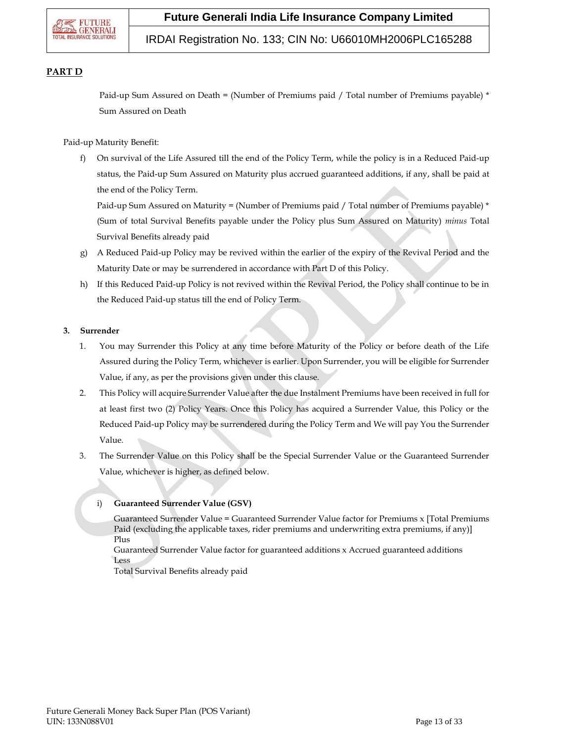

## IRDAI Registration No. 133; CIN No: U66010MH2006PLC165288

## **PART D**

Paid-up Sum Assured on Death = (Number of Premiums paid / Total number of Premiums payable) \* Sum Assured on Death

Paid-up Maturity Benefit:

f) On survival of the Life Assured till the end of the Policy Term, while the policy is in a Reduced Paid-up status, the Paid-up Sum Assured on Maturity plus accrued guaranteed additions, if any, shall be paid at the end of the Policy Term.

Paid-up Sum Assured on Maturity = (Number of Premiums paid / Total number of Premiums payable) \* (Sum of total Survival Benefits payable under the Policy plus Sum Assured on Maturity) *minus* Total Survival Benefits already paid

- g) A Reduced Paid-up Policy may be revived within the earlier of the expiry of the Revival Period and the Maturity Date or may be surrendered in accordance with Part D of this Policy.
- h) If this Reduced Paid-up Policy is not revived within the Revival Period, the Policy shall continue to be in the Reduced Paid-up status till the end of Policy Term.

#### **3. Surrender**

- 1. You may Surrender this Policy at any time before Maturity of the Policy or before death of the Life Assured during the Policy Term, whichever is earlier. Upon Surrender, you will be eligible for Surrender Value, if any, as per the provisions given under this clause.
- 2. This Policy will acquire Surrender Value after the due Instalment Premiums have been received in full for at least first two (2) Policy Years. Once this Policy has acquired a Surrender Value, this Policy or the Reduced Paid-up Policy may be surrendered during the Policy Term and We will pay You the Surrender Value.
- 3. The Surrender Value on this Policy shall be the Special Surrender Value or the Guaranteed Surrender Value, whichever is higher, as defined below.

## i) **Guaranteed Surrender Value (GSV)**

Guaranteed Surrender Value = Guaranteed Surrender Value factor for Premiums x [Total Premiums Paid (excluding the applicable taxes, rider premiums and underwriting extra premiums, if any)] Plus

Guaranteed Surrender Value factor for guaranteed additions x Accrued guaranteed additions Less

Total Survival Benefits already paid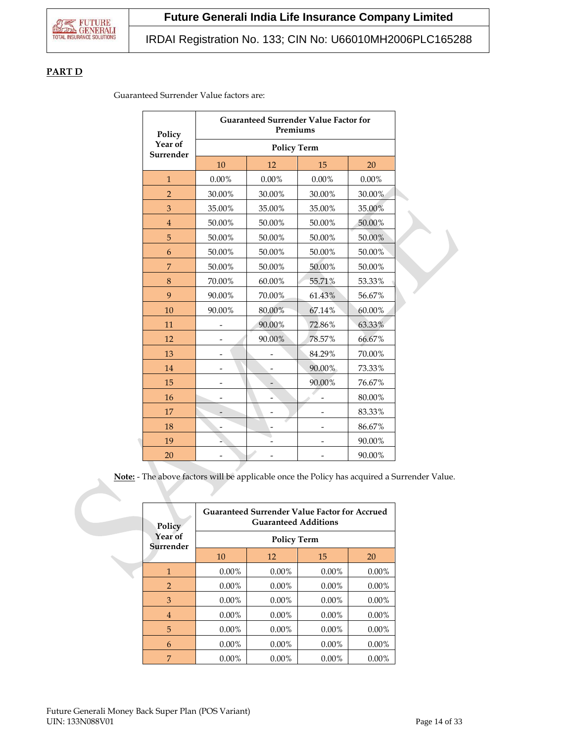## **PART D**

Guaranteed Surrender Value factors are:

| Policy               |                    | <b>Guaranteed Surrender Value Factor for</b><br>Premiums |          |          |  |
|----------------------|--------------------|----------------------------------------------------------|----------|----------|--|
| Year of<br>Surrender | <b>Policy Term</b> |                                                          |          |          |  |
|                      | 10                 | 12                                                       | 15       | 20       |  |
| $\mathbf{1}$         | $0.00\%$           | 0.00%                                                    | $0.00\%$ | $0.00\%$ |  |
| $\overline{2}$       | 30.00%             | 30.00%                                                   | 30.00%   | 30.00%   |  |
| 3                    | 35.00%             | 35.00%                                                   | 35.00%   | 35.00%   |  |
| $\overline{4}$       | 50.00%             | 50.00%                                                   | 50.00%   | 50.00%   |  |
| 5                    | 50.00%             | 50.00%                                                   | 50.00%   | 50.00%   |  |
| 6                    | 50.00%             | 50.00%                                                   | 50.00%   | 50.00%   |  |
| 7                    | 50.00%             | 50.00%                                                   | 50.00%   | 50.00%   |  |
| 8                    | 70.00%             | 60.00%                                                   | 55.71%   | 53.33%   |  |
| 9                    | 90.00%             | 70.00%                                                   | 61.43%   | 56.67%   |  |
| 10                   | 90.00%             | 80.00%                                                   | 67.14%   | 60.00%   |  |
| 11                   |                    | 90.00%                                                   | 72.86%   | 63.33%   |  |
| 12                   |                    | 90.00%                                                   | 78.57%   | 66.67%   |  |
| 13                   |                    |                                                          | 84.29%   | 70.00%   |  |
| 14                   |                    |                                                          | 90.00%   | 73.33%   |  |
| 15                   |                    |                                                          | 90.00%   | 76.67%   |  |
| 16                   |                    |                                                          |          | 80.00%   |  |
| 17                   |                    |                                                          |          | 83.33%   |  |
| 18                   |                    |                                                          |          | 86.67%   |  |
| 19                   |                    |                                                          |          | 90.00%   |  |
| 20                   |                    |                                                          |          | 90.00%   |  |

**Note:** - The above factors will be applicable once the Policy has acquired a Surrender Value.

| Policy               | <b>Guaranteed Surrender Value Factor for Accrued</b><br><b>Guaranteed Additions</b> |          |          |          |  |  |
|----------------------|-------------------------------------------------------------------------------------|----------|----------|----------|--|--|
| Year of<br>Surrender | <b>Policy Term</b>                                                                  |          |          |          |  |  |
|                      | 10                                                                                  | 12       | 15       | 20       |  |  |
| 1                    | $0.00\%$                                                                            | $0.00\%$ | $0.00\%$ | $0.00\%$ |  |  |
| 2                    | $0.00\%$                                                                            | $0.00\%$ | $0.00\%$ | $0.00\%$ |  |  |
| 3                    | $0.00\%$                                                                            | $0.00\%$ | $0.00\%$ | $0.00\%$ |  |  |
| $\overline{4}$       | $0.00\%$                                                                            | $0.00\%$ | $0.00\%$ | $0.00\%$ |  |  |
| 5                    | $0.00\%$                                                                            | $0.00\%$ | $0.00\%$ | $0.00\%$ |  |  |
| 6                    | $0.00\%$                                                                            | $0.00\%$ | $0.00\%$ | $0.00\%$ |  |  |
| 7                    | $0.00\%$                                                                            | $0.00\%$ | $0.00\%$ | $0.00\%$ |  |  |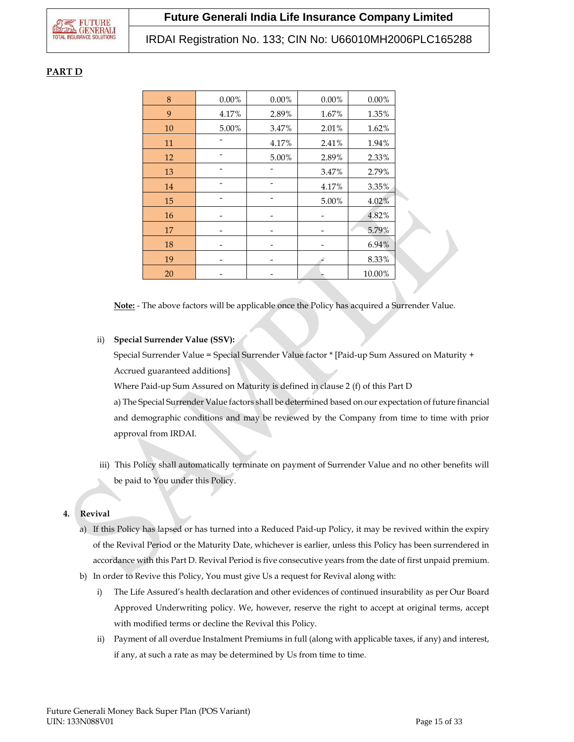## **PART D**

| 8  | $0.00\%$ | $0.00\%$ | 0.00% | $0.00\%$ |  |
|----|----------|----------|-------|----------|--|
| 9  | 4.17%    | 2.89%    | 1.67% | 1.35%    |  |
| 10 | 5.00%    | 3.47%    | 2.01% | 1.62%    |  |
| 11 |          | 4.17%    | 2.41% | 1.94%    |  |
| 12 |          | 5.00%    | 2.89% | 2.33%    |  |
| 13 |          |          | 3.47% | 2.79%    |  |
| 14 |          |          | 4.17% | $3.35\%$ |  |
| 15 |          |          | 5.00% | 4.02%    |  |
| 16 |          |          |       | 4.82%    |  |
| 17 |          |          |       | 5.79%    |  |
| 18 |          |          |       | 6.94%    |  |
| 19 |          |          |       | 8.33%    |  |
| 20 |          |          |       | 10.00%   |  |

**Note:** - The above factors will be applicable once the Policy has acquired a Surrender Value.

## ii) **Special Surrender Value (SSV):**

Special Surrender Value = Special Surrender Value factor \* [Paid-up Sum Assured on Maturity + Accrued guaranteed additions]

Where Paid-up Sum Assured on Maturity is defined in clause 2 (f) of this Part D

a) The Special Surrender Value factors shall be determined based on our expectation of future financial and demographic conditions and may be reviewed by the Company from time to time with prior approval from IRDAI.

iii) This Policy shall automatically terminate on payment of Surrender Value and no other benefits will be paid to You under this Policy.

# **4. Revival**

- a) If this Policy has lapsed or has turned into a Reduced Paid-up Policy, it may be revived within the expiry of the Revival Period or the Maturity Date, whichever is earlier, unless this Policy has been surrendered in accordance with this Part D. Revival Period is five consecutive years from the date of first unpaid premium.
- b) In order to Revive this Policy, You must give Us a request for Revival along with:
	- i) The Life Assured's health declaration and other evidences of continued insurability as per Our Board Approved Underwriting policy. We, however, reserve the right to accept at original terms, accept with modified terms or decline the Revival this Policy.
	- ii) Payment of all overdue Instalment Premiums in full (along with applicable taxes, if any) and interest, if any, at such a rate as may be determined by Us from time to time.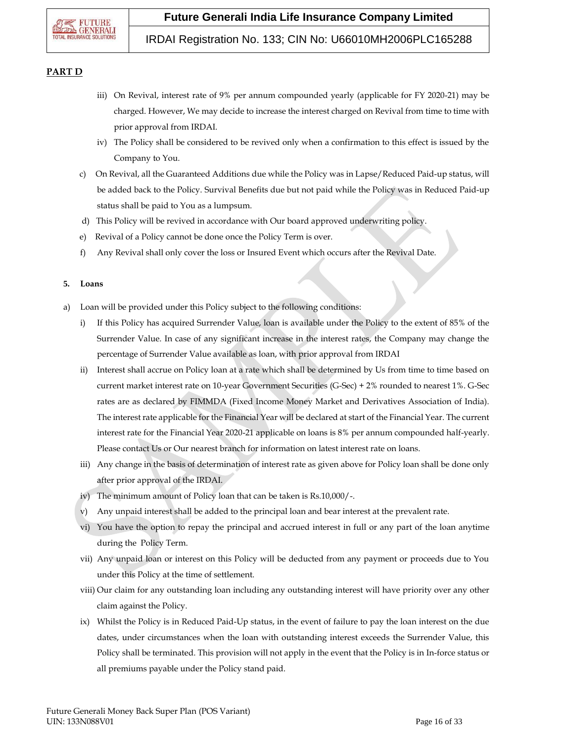

## IRDAI Registration No. 133; CIN No: U66010MH2006PLC165288

## **PART D**

- iii) On Revival, interest rate of 9% per annum compounded yearly (applicable for FY 2020-21) may be charged. However, We may decide to increase the interest charged on Revival from time to time with prior approval from IRDAI.
- iv) The Policy shall be considered to be revived only when a confirmation to this effect is issued by the Company to You.
- c) On Revival, all the Guaranteed Additions due while the Policy was in Lapse/Reduced Paid-up status, will be added back to the Policy. Survival Benefits due but not paid while the Policy was in Reduced Paid-up status shall be paid to You as a lumpsum.
- d) This Policy will be revived in accordance with Our board approved underwriting policy.
- e) Revival of a Policy cannot be done once the Policy Term is over.
- f) Any Revival shall only cover the loss or Insured Event which occurs after the Revival Date.

## **5. Loans**

- a) Loan will be provided under this Policy subject to the following conditions:
	- i) If this Policy has acquired Surrender Value, loan is available under the Policy to the extent of 85% of the Surrender Value. In case of any significant increase in the interest rates, the Company may change the percentage of Surrender Value available as loan, with prior approval from IRDAI
	- ii) Interest shall accrue on Policy loan at a rate which shall be determined by Us from time to time based on current market interest rate on 10-year Government Securities (G-Sec) + 2% rounded to nearest 1%. G-Sec rates are as declared by FIMMDA (Fixed Income Money Market and Derivatives Association of India). The interest rate applicable for the Financial Year will be declared at start of the Financial Year. The current interest rate for the Financial Year 2020-21 applicable on loans is 8% per annum compounded half-yearly. Please contact Us or Our nearest branch for information on latest interest rate on loans.
	- iii) Any change in the basis of determination of interest rate as given above for Policy loan shall be done only after prior approval of the IRDAI.
	- iv) The minimum amount of Policy loan that can be taken is Rs.10,000/-.
	- v) Any unpaid interest shall be added to the principal loan and bear interest at the prevalent rate.
	- vi) You have the option to repay the principal and accrued interest in full or any part of the loan anytime during the Policy Term.
	- vii) Any unpaid loan or interest on this Policy will be deducted from any payment or proceeds due to You under this Policy at the time of settlement.
	- viii) Our claim for any outstanding loan including any outstanding interest will have priority over any other claim against the Policy.
	- ix) Whilst the Policy is in Reduced Paid-Up status, in the event of failure to pay the loan interest on the due dates, under circumstances when the loan with outstanding interest exceeds the Surrender Value, this Policy shall be terminated. This provision will not apply in the event that the Policy is in In-force status or all premiums payable under the Policy stand paid.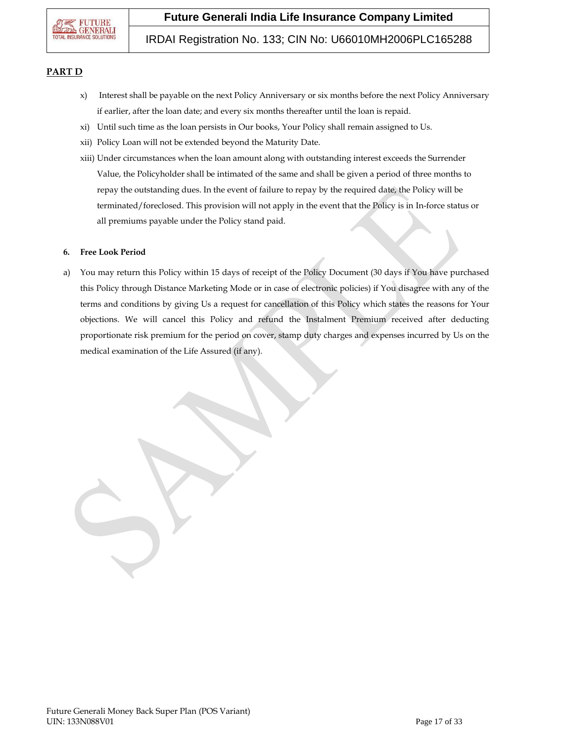

## IRDAI Registration No. 133; CIN No: U66010MH2006PLC165288

### **PART D**

- x) Interest shall be payable on the next Policy Anniversary or six months before the next Policy Anniversary if earlier, after the loan date; and every six months thereafter until the loan is repaid.
- xi) Until such time as the loan persists in Our books, Your Policy shall remain assigned to Us.
- xii) Policy Loan will not be extended beyond the Maturity Date.
- xiii) Under circumstances when the loan amount along with outstanding interest exceeds the Surrender Value, the Policyholder shall be intimated of the same and shall be given a period of three months to repay the outstanding dues. In the event of failure to repay by the required date, the Policy will be terminated/foreclosed. This provision will not apply in the event that the Policy is in In-force status or all premiums payable under the Policy stand paid.

#### **6. Free Look Period**

a) You may return this Policy within 15 days of receipt of the Policy Document (30 days if You have purchased this Policy through Distance Marketing Mode or in case of electronic policies) if You disagree with any of the terms and conditions by giving Us a request for cancellation of this Policy which states the reasons for Your objections. We will cancel this Policy and refund the Instalment Premium received after deducting proportionate risk premium for the period on cover, stamp duty charges and expenses incurred by Us on the medical examination of the Life Assured (if any).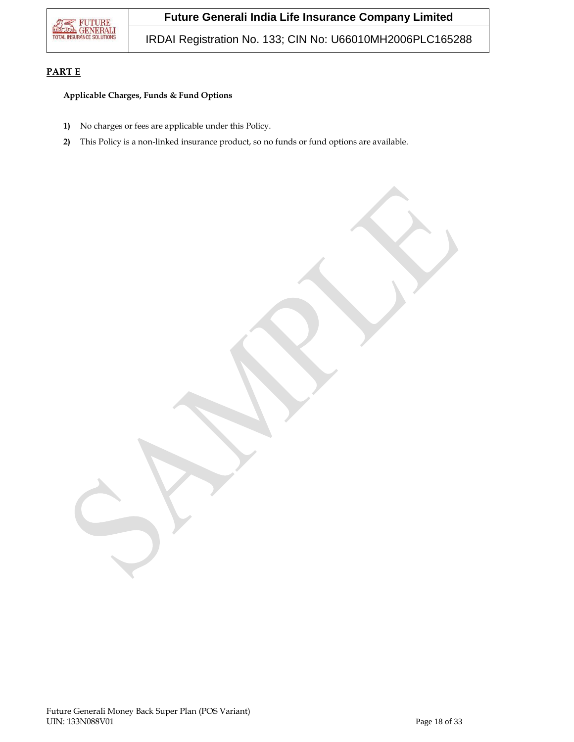

IRDAI Registration No. 133; CIN No: U66010MH2006PLC165288

## **PART E**

## **Applicable Charges, Funds & Fund Options**

- **1)** No charges or fees are applicable under this Policy.
- **2)** This Policy is a non-linked insurance product, so no funds or fund options are available.

Future Generali Money Back Super Plan (POS Variant) UIN: 133N088V01 Page 18 of 33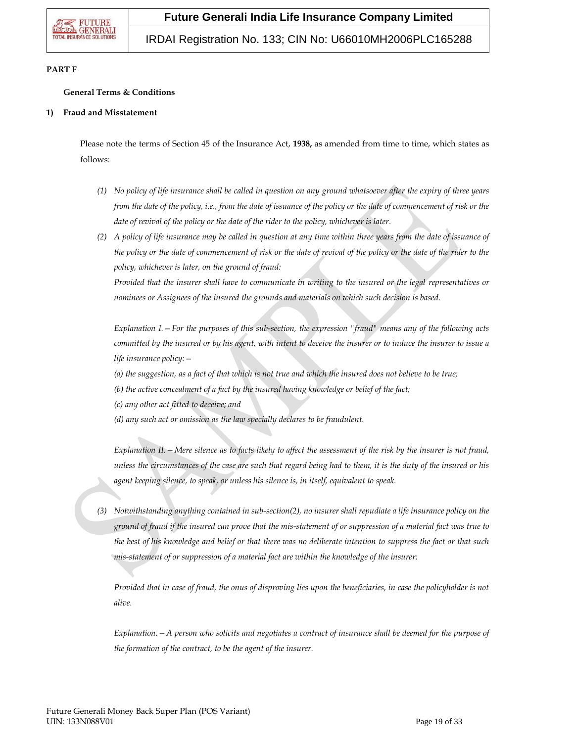# IRDAI Registration No. 133; CIN No: U66010MH2006PLC165288

## **PART F**

## **General Terms & Conditions**

#### **1) Fraud and Misstatement**

Please note the terms of Section 45 of the Insurance Act, **1938,** as amended from time to time, which states as follows:

- *(1) No policy of life insurance shall be called in question on any ground whatsoever after the expiry of three years from the date of the policy, i.e., from the date of issuance of the policy or the date of commencement of risk or the date of revival of the policy or the date of the rider to the policy, whichever is later.*
- *(2) A policy of life insurance may be called in question at any time within three years from the date of issuance of the policy or the date of commencement of risk or the date of revival of the policy or the date of the rider to the policy, whichever is later, on the ground of fraud:*

*Provided that the insurer shall have to communicate in writing to the insured or the legal representatives or nominees or Assignees of the insured the grounds and materials on which such decision is based.*

*Explanation I.—For the purposes of this sub-section, the expression "fraud" means any of the following acts committed by the insured or by his agent, with intent to deceive the insurer or to induce the insurer to issue a life insurance policy:—*

*(a) the suggestion, as a fact of that which is not true and which the insured does not believe to be true;*

*(b) the active concealment of a fact by the insured having knowledge or belief of the fact;*

*(c) any other act fitted to deceive; and*

*(d) any such act or omission as the law specially declares to be fraudulent.*

*Explanation II.—Mere silence as to facts likely to affect the assessment of the risk by the insurer is not fraud, unless the circumstances of the case are such that regard being had to them, it is the duty of the insured or his agent keeping silence, to speak, or unless his silence is, in itself, equivalent to speak.*

*(3) Notwithstanding anything contained in sub-section(2), no insurer shall repudiate a life insurance policy on the ground of fraud if the insured can prove that the mis-statement of or suppression of a material fact was true to the best of his knowledge and belief or that there was no deliberate intention to suppress the fact or that such mis-statement of or suppression of a material fact are within the knowledge of the insurer:*

*Provided that in case of fraud, the onus of disproving lies upon the beneficiaries, in case the policyholder is not alive.* 

*Explanation.—A person who solicits and negotiates a contract of insurance shall be deemed for the purpose of the formation of the contract, to be the agent of the insurer.*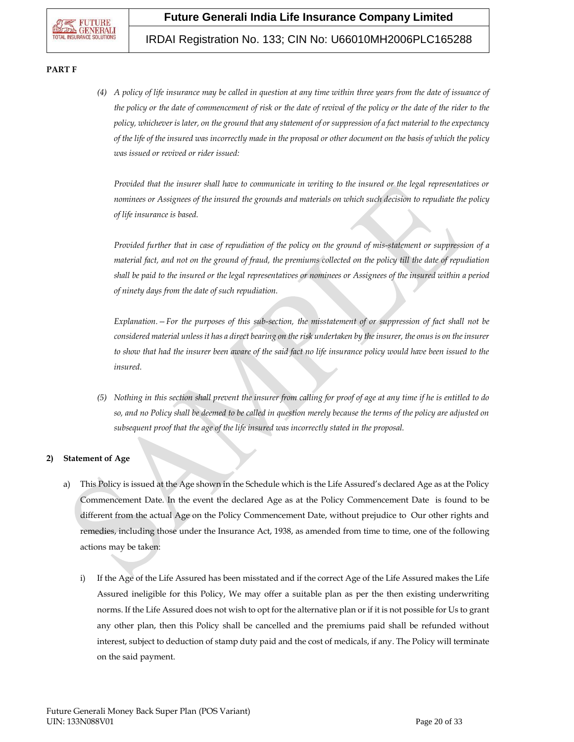# IRDAI Registration No. 133; CIN No: U66010MH2006PLC165288

#### **PART F**

*(4) A policy of life insurance may be called in question at any time within three years from the date of issuance of the policy or the date of commencement of risk or the date of revival of the policy or the date of the rider to the policy, whichever is later, on the ground that any statement of or suppression of a fact material to the expectancy of the life of the insured was incorrectly made in the proposal or other document on the basis of which the policy was issued or revived or rider issued:*

*Provided that the insurer shall have to communicate in writing to the insured or the legal representatives or nominees or Assignees of the insured the grounds and materials on which such decision to repudiate the policy of life insurance is based.*

*Provided further that in case of repudiation of the policy on the ground of mis-statement or suppression of a material fact, and not on the ground of fraud, the premiums collected on the policy till the date of repudiation shall be paid to the insured or the legal representatives or nominees or Assignees of the insured within a period of ninety days from the date of such repudiation.*

*Explanation.—For the purposes of this sub-section, the misstatement of or suppression of fact shall not be considered material unless it has a direct bearing on the risk undertaken by the insurer, the onus is on the insurer*  to show that had the insurer been aware of the said fact no life insurance policy would have been issued to the *insured.*

*(5) Nothing in this section shall prevent the insurer from calling for proof of age at any time if he is entitled to do so, and no Policy shall be deemed to be called in question merely because the terms of the policy are adjusted on subsequent proof that the age of the life insured was incorrectly stated in the proposal.* 

## **2) Statement of Age**

- a) This Policy is issued at the Age shown in the Schedule which is the Life Assured's declared Age as at the Policy Commencement Date. In the event the declared Age as at the Policy Commencement Date is found to be different from the actual Age on the Policy Commencement Date, without prejudice to Our other rights and remedies, including those under the Insurance Act, 1938, as amended from time to time, one of the following actions may be taken:
	- i) If the Age of the Life Assured has been misstated and if the correct Age of the Life Assured makes the Life Assured ineligible for this Policy, We may offer a suitable plan as per the then existing underwriting norms. If the Life Assured does not wish to opt for the alternative plan or if it is not possible for Us to grant any other plan, then this Policy shall be cancelled and the premiums paid shall be refunded without interest, subject to deduction of stamp duty paid and the cost of medicals, if any. The Policy will terminate on the said payment.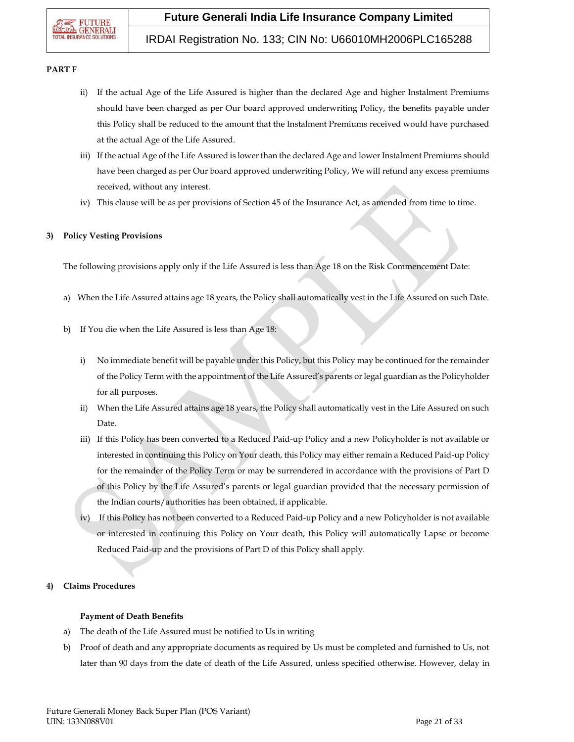# IRDAI Registration No. 133; CIN No: U66010MH2006PLC165288

#### **PART F**

- ii) If the actual Age of the Life Assured is higher than the declared Age and higher Instalment Premiums should have been charged as per Our board approved underwriting Policy, the benefits payable under this Policy shall be reduced to the amount that the Instalment Premiums received would have purchased at the actual Age of the Life Assured.
- iii) If the actual Age of the Life Assured is lower than the declared Age and lower Instalment Premiums should have been charged as per Our board approved underwriting Policy, We will refund any excess premiums received, without any interest.
- iv) This clause will be as per provisions of Section 45 of the Insurance Act, as amended from time to time.

## **3) Policy Vesting Provisions**

The following provisions apply only if the Life Assured is less than Age 18 on the Risk Commencement Date:

- a) When the Life Assured attains age 18 years, the Policy shall automatically vest in the Life Assured on such Date.
- b) If You die when the Life Assured is less than Age 18:
	- i) No immediate benefit will be payable under this Policy, but this Policy may be continued for the remainder of the Policy Term with the appointment of the Life Assured's parents or legal guardian as the Policyholder for all purposes.
	- ii) When the Life Assured attains age 18 years, the Policy shall automatically vest in the Life Assured on such Date.
	- iii) If this Policy has been converted to a Reduced Paid-up Policy and a new Policyholder is not available or interested in continuing this Policy on Your death, this Policy may either remain a Reduced Paid-up Policy for the remainder of the Policy Term or may be surrendered in accordance with the provisions of Part D of this Policy by the Life Assured's parents or legal guardian provided that the necessary permission of the Indian courts/authorities has been obtained, if applicable.
	- iv) If this Policy has not been converted to a Reduced Paid-up Policy and a new Policyholder is not available or interested in continuing this Policy on Your death, this Policy will automatically Lapse or become Reduced Paid-up and the provisions of Part D of this Policy shall apply.

## **4) Claims Procedures**

#### **Payment of Death Benefits**

- a) The death of the Life Assured must be notified to Us in writing
- b) Proof of death and any appropriate documents as required by Us must be completed and furnished to Us, not later than 90 days from the date of death of the Life Assured, unless specified otherwise. However, delay in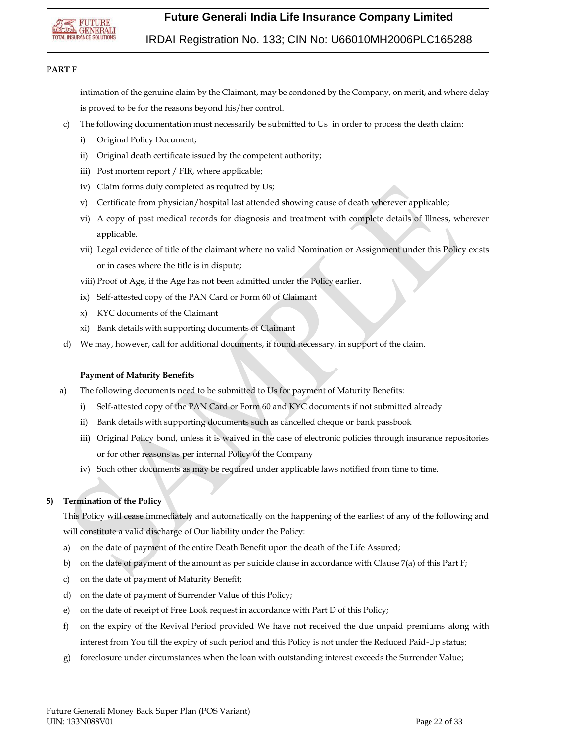

## IRDAI Registration No. 133; CIN No: U66010MH2006PLC165288

#### **PART F**

intimation of the genuine claim by the Claimant, may be condoned by the Company, on merit, and where delay is proved to be for the reasons beyond his/her control.

- c) The following documentation must necessarily be submitted to Us in order to process the death claim:
	- i) Original Policy Document;
	- ii) Original death certificate issued by the competent authority;
	- iii) Post mortem report / FIR, where applicable;
	- iv) Claim forms duly completed as required by Us;
	- v) Certificate from physician/hospital last attended showing cause of death wherever applicable;
	- vi) A copy of past medical records for diagnosis and treatment with complete details of Illness, wherever applicable.
	- vii) Legal evidence of title of the claimant where no valid Nomination or Assignment under this Policy exists or in cases where the title is in dispute;
	- viii) Proof of Age, if the Age has not been admitted under the Policy earlier.
	- ix) Self-attested copy of the PAN Card or Form 60 of Claimant
	- x) KYC documents of the Claimant
	- xi) Bank details with supporting documents of Claimant
- d) We may, however, call for additional documents, if found necessary, in support of the claim.

#### **Payment of Maturity Benefits**

- a) The following documents need to be submitted to Us for payment of Maturity Benefits:
	- i) Self-attested copy of the PAN Card or Form 60 and KYC documents if not submitted already
	- ii) Bank details with supporting documents such as cancelled cheque or bank passbook
	- iii) Original Policy bond, unless it is waived in the case of electronic policies through insurance repositories or for other reasons as per internal Policy of the Company
	- iv) Such other documents as may be required under applicable laws notified from time to time.

## **5) Termination of the Policy**

This Policy will cease immediately and automatically on the happening of the earliest of any of the following and will constitute a valid discharge of Our liability under the Policy:

- a) on the date of payment of the entire Death Benefit upon the death of the Life Assured;
- b) on the date of payment of the amount as per suicide clause in accordance with Clause 7(a) of this Part F;
- c) on the date of payment of Maturity Benefit;
- d) on the date of payment of Surrender Value of this Policy;
- e) on the date of receipt of Free Look request in accordance with Part D of this Policy;
- f) on the expiry of the Revival Period provided We have not received the due unpaid premiums along with interest from You till the expiry of such period and this Policy is not under the Reduced Paid-Up status;
- g) foreclosure under circumstances when the loan with outstanding interest exceeds the Surrender Value;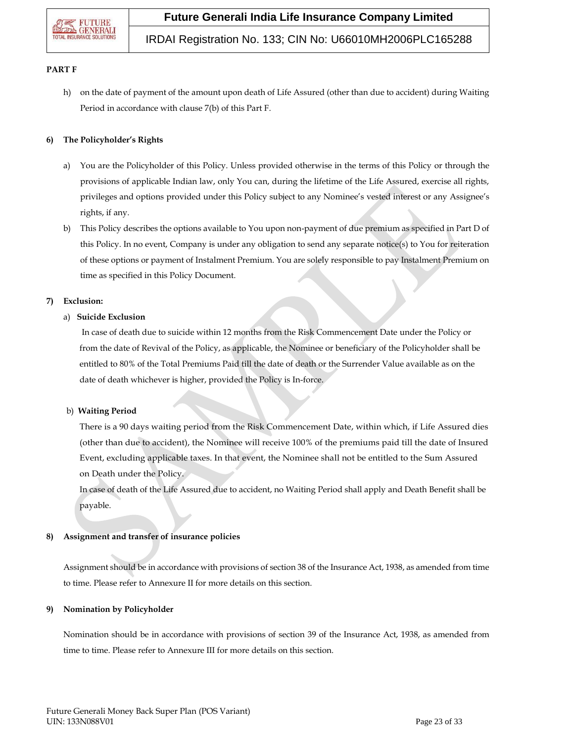

# IRDAI Registration No. 133; CIN No: U66010MH2006PLC165288

#### **PART F**

h) on the date of payment of the amount upon death of Life Assured (other than due to accident) during Waiting Period in accordance with clause 7(b) of this Part F.

### **6) The Policyholder's Rights**

- a) You are the Policyholder of this Policy. Unless provided otherwise in the terms of this Policy or through the provisions of applicable Indian law, only You can, during the lifetime of the Life Assured, exercise all rights, privileges and options provided under this Policy subject to any Nominee's vested interest or any Assignee's rights, if any.
- b) This Policy describes the options available to You upon non-payment of due premium as specified in Part D of this Policy. In no event, Company is under any obligation to send any separate notice(s) to You for reiteration of these options or payment of Instalment Premium. You are solely responsible to pay Instalment Premium on time as specified in this Policy Document.

#### **7) Exclusion:**

#### a) **Suicide Exclusion**

In case of death due to suicide within 12 months from the Risk Commencement Date under the Policy or from the date of Revival of the Policy, as applicable, the Nominee or beneficiary of the Policyholder shall be entitled to 80% of the Total Premiums Paid till the date of death or the Surrender Value available as on the date of death whichever is higher, provided the Policy is In-force.

#### b) **Waiting Period**

There is a 90 days waiting period from the Risk Commencement Date, within which, if Life Assured dies (other than due to accident), the Nominee will receive 100% of the premiums paid till the date of Insured Event, excluding applicable taxes. In that event, the Nominee shall not be entitled to the Sum Assured on Death under the Policy.

In case of death of the Life Assured due to accident, no Waiting Period shall apply and Death Benefit shall be payable.

## **8) Assignment and transfer of insurance policies**

Assignment should be in accordance with provisions of section 38 of the Insurance Act, 1938, as amended from time to time. Please refer to Annexure II for more details on this section.

## **9) Nomination by Policyholder**

Nomination should be in accordance with provisions of section 39 of the Insurance Act, 1938, as amended from time to time. Please refer to Annexure III for more details on this section.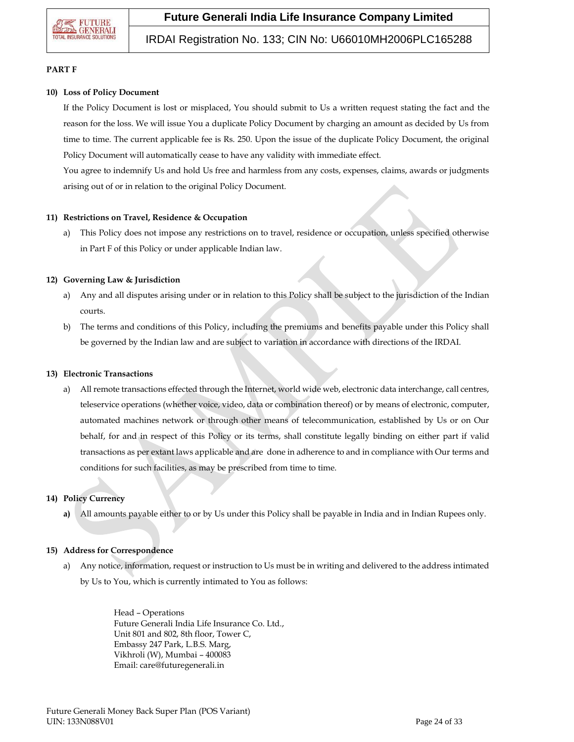# IRDAI Registration No. 133; CIN No: U66010MH2006PLC165288

### **PART F**

#### **10) Loss of Policy Document**

If the Policy Document is lost or misplaced, You should submit to Us a written request stating the fact and the reason for the loss. We will issue You a duplicate Policy Document by charging an amount as decided by Us from time to time. The current applicable fee is Rs. 250. Upon the issue of the duplicate Policy Document, the original Policy Document will automatically cease to have any validity with immediate effect.

You agree to indemnify Us and hold Us free and harmless from any costs, expenses, claims, awards or judgments arising out of or in relation to the original Policy Document.

#### **11) Restrictions on Travel, Residence & Occupation**

a) This Policy does not impose any restrictions on to travel, residence or occupation, unless specified otherwise in Part F of this Policy or under applicable Indian law.

## **12) Governing Law & Jurisdiction**

- a) Any and all disputes arising under or in relation to this Policy shall be subject to the jurisdiction of the Indian courts.
- b) The terms and conditions of this Policy, including the premiums and benefits payable under this Policy shall be governed by the Indian law and are subject to variation in accordance with directions of the IRDAI.

#### **13) Electronic Transactions**

a) All remote transactions effected through the Internet, world wide web, electronic data interchange, call centres, teleservice operations (whether voice, video, data or combination thereof) or by means of electronic, computer, automated machines network or through other means of telecommunication, established by Us or on Our behalf, for and in respect of this Policy or its terms, shall constitute legally binding on either part if valid transactions as per extant laws applicable and are done in adherence to and in compliance with Our terms and conditions for such facilities, as may be prescribed from time to time.

## **14) Policy Currency**

**a)** All amounts payable either to or by Us under this Policy shall be payable in India and in Indian Rupees only.

#### **15) Address for Correspondence**

a) Any notice, information, request or instruction to Us must be in writing and delivered to the address intimated by Us to You, which is currently intimated to You as follows:

> Head – Operations Future Generali India Life Insurance Co. Ltd., Unit 801 and 802, 8th floor, Tower C, Embassy 247 Park, L.B.S. Marg, Vikhroli (W), Mumbai – 400083 Email: care@futuregenerali.in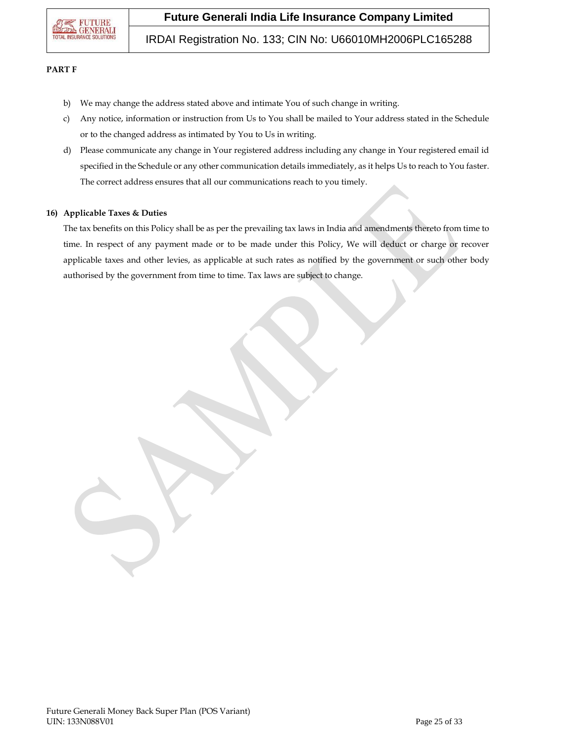

IRDAI Registration No. 133; CIN No: U66010MH2006PLC165288

#### **PART F**

- b) We may change the address stated above and intimate You of such change in writing.
- c) Any notice, information or instruction from Us to You shall be mailed to Your address stated in the Schedule or to the changed address as intimated by You to Us in writing.
- d) Please communicate any change in Your registered address including any change in Your registered email id specified in the Schedule or any other communication details immediately, as it helps Us to reach to You faster. The correct address ensures that all our communications reach to you timely.

#### **16) Applicable Taxes & Duties**

The tax benefits on this Policy shall be as per the prevailing tax laws in India and amendments thereto from time to time. In respect of any payment made or to be made under this Policy, We will deduct or charge or recover applicable taxes and other levies, as applicable at such rates as notified by the government or such other body authorised by the government from time to time. Tax laws are subject to change.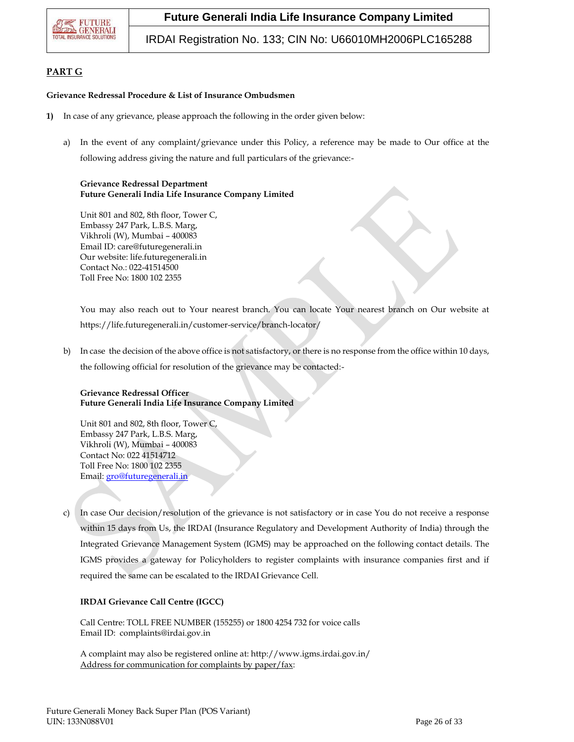

IRDAI Registration No. 133; CIN No: U66010MH2006PLC165288

## **PART G**

#### **Grievance Redressal Procedure & List of Insurance Ombudsmen**

- **1)** In case of any grievance, please approach the following in the order given below:
	- a) In the event of any complaint/grievance under this Policy, a reference may be made to Our office at the following address giving the nature and full particulars of the grievance:-

### **Grievance Redressal Department Future Generali India Life Insurance Company Limited**

Unit 801 and 802, 8th floor, Tower C, Embassy 247 Park, L.B.S. Marg, Vikhroli (W), Mumbai – 400083 Email ID: care@futuregenerali.in Our website: [life.futuregenerali.in](http://www.futuregenerali.in/) Contact No.: 022-41514500 Toll Free No: 1800 102 2355

You may also reach out to Your nearest branch. You can locate Your nearest branch on Our website at https://life.futuregenerali.in/customer-service/branch-locator/

b) In case the decision of the above office is not satisfactory, or there is no response from the office within 10 days, the following official for resolution of the grievance may be contacted:-

## **Grievance Redressal Officer Future Generali India Life Insurance Company Limited**

Unit 801 and 802, 8th floor, Tower C, Embassy 247 Park, L.B.S. Marg, Vikhroli (W), Mumbai – 400083 Contact No: 022 41514712 Toll Free No: 1800 102 2355 Email[: gro@futuregenerali.in](mailto:gro@futuregenerali.in)

c) In case Our decision/resolution of the grievance is not satisfactory or in case You do not receive a response within 15 days from Us, the IRDAI (Insurance Regulatory and Development Authority of India) through the Integrated Grievance Management System (IGMS) may be approached on the following contact details. The IGMS provides a gateway for Policyholders to register complaints with insurance companies first and if required the same can be escalated to the IRDAI Grievance Cell.

## **IRDAI Grievance Call Centre (IGCC)**

Call Centre: TOLL FREE NUMBER (155255) or 1800 4254 732 for voice calls Email ID: complaints@irdai.gov.in

A complaint may also be registered online at: http://www.igms.irdai.gov.in/ Address for communication for complaints by paper/fax: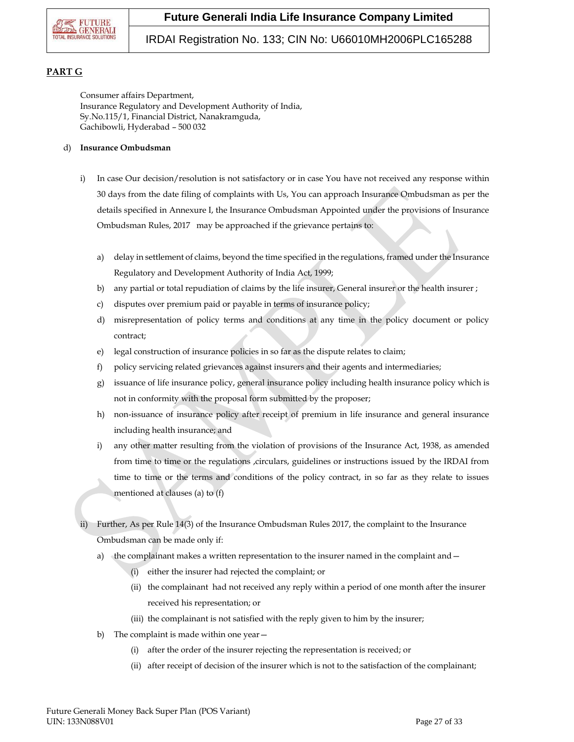

## IRDAI Registration No. 133; CIN No: U66010MH2006PLC165288

## **PART G**

Consumer affairs Department, Insurance Regulatory and Development Authority of India, Sy.No.115/1, Financial District, Nanakramguda, Gachibowli, Hyderabad – 500 032

#### d) **Insurance Ombudsman**

- i) In case Our decision/resolution is not satisfactory or in case You have not received any response within 30 days from the date filing of complaints with Us, You can approach Insurance Ombudsman as per the details specified in Annexure I, the Insurance Ombudsman Appointed under the provisions of Insurance Ombudsman Rules, 2017 may be approached if the grievance pertains to:
	- a) delay in settlement of claims, beyond the time specified in the regulations, framed under the Insurance Regulatory and Development Authority of India Act, 1999;
	- b) any partial or total repudiation of claims by the life insurer, General insurer or the health insurer ;
	- c) disputes over premium paid or payable in terms of insurance policy;
	- d) misrepresentation of policy terms and conditions at any time in the policy document or policy contract;
	- e) legal construction of insurance policies in so far as the dispute relates to claim;
	- f) policy servicing related grievances against insurers and their agents and intermediaries;
	- g) issuance of life insurance policy, general insurance policy including health insurance policy which is not in conformity with the proposal form submitted by the proposer;
	- h) non-issuance of insurance policy after receipt of premium in life insurance and general insurance including health insurance; and
	- i) any other matter resulting from the violation of provisions of the Insurance Act, 1938, as amended from time to time or the regulations ,circulars, guidelines or instructions issued by the IRDAI from time to time or the terms and conditions of the policy contract, in so far as they relate to issues mentioned at clauses (a) to (f)
- Further, As per Rule 14(3) of the Insurance Ombudsman Rules 2017, the complaint to the Insurance Ombudsman can be made only if:
	- a) the complainant makes a written representation to the insurer named in the complaint and  $-$ 
		- (i) either the insurer had rejected the complaint; or
		- (ii) the complainant had not received any reply within a period of one month after the insurer received his representation; or
		- (iii) the complainant is not satisfied with the reply given to him by the insurer;
	- b) The complaint is made within one year—
		- (i) after the order of the insurer rejecting the representation is received; or
		- (ii) after receipt of decision of the insurer which is not to the satisfaction of the complainant;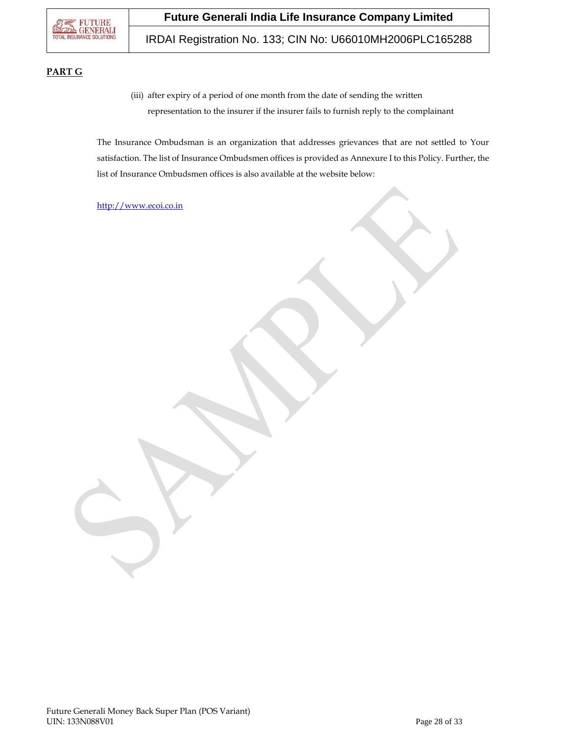

IRDAI Registration No. 133; CIN No: U66010MH2006PLC165288

## **PART G**

(iii) after expiry of a period of one month from the date of sending the written representation to the insurer if the insurer fails to furnish reply to the complainant

The Insurance Ombudsman is an organization that addresses grievances that are not settled to Your satisfaction. The list of Insurance Ombudsmen offices is provided as Annexure I to this Policy. Further, the list of Insurance Ombudsmen offices is also available at the website below:

[http://www.ecoi.co.in](http://www.ecoi.co.in/)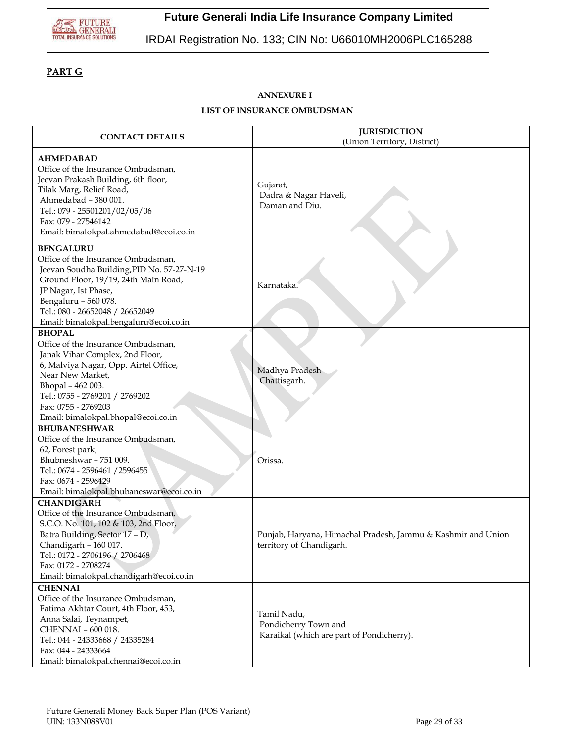

# IRDAI Registration No. 133; CIN No: U66010MH2006PLC165288

# **PART G**

# **ANNEXURE I**

## **LIST OF INSURANCE OMBUDSMAN**

| <b>CONTACT DETAILS</b>                                                                                                                                                                                                                                                    | <b>JURISDICTION</b><br>(Union Territory, District)                                       |
|---------------------------------------------------------------------------------------------------------------------------------------------------------------------------------------------------------------------------------------------------------------------------|------------------------------------------------------------------------------------------|
| <b>AHMEDABAD</b><br>Office of the Insurance Ombudsman,<br>Jeevan Prakash Building, 6th floor,<br>Tilak Marg, Relief Road,<br>Ahmedabad - 380 001.<br>Tel.: 079 - 25501201/02/05/06<br>Fax: 079 - 27546142<br>Email: bimalokpal.ahmedabad@ecoi.co.in                       | Gujarat,<br>Dadra & Nagar Haveli,<br>Daman and Diu.                                      |
| <b>BENGALURU</b><br>Office of the Insurance Ombudsman,<br>Jeevan Soudha Building, PID No. 57-27-N-19<br>Ground Floor, 19/19, 24th Main Road,<br>JP Nagar, Ist Phase,<br>Bengaluru - 560 078.<br>Tel.: 080 - 26652048 / 26652049<br>Email: bimalokpal.bengaluru@ecoi.co.in | Karnataka.                                                                               |
| <b>BHOPAL</b><br>Office of the Insurance Ombudsman,<br>Janak Vihar Complex, 2nd Floor,<br>6, Malviya Nagar, Opp. Airtel Office,<br>Near New Market,<br>Bhopal - 462 003.<br>Tel.: 0755 - 2769201 / 2769202<br>Fax: 0755 - 2769203<br>Email: bimalokpal.bhopal@ecoi.co.in  | Madhya Pradesh<br>Chattisgarh.                                                           |
| <b>BHUBANESHWAR</b><br>Office of the Insurance Ombudsman,<br>62, Forest park,<br>Bhubneshwar - 751 009.<br>Tel.: 0674 - 2596461 / 2596455<br>Fax: 0674 - 2596429<br>Email: bimalokpal.bhubaneswar@ecoi.co.in                                                              | Orissa.                                                                                  |
| <b>CHANDIGARH</b><br>Office of the Insurance Ombudsman,<br>S.C.O. No. 101, 102 & 103, 2nd Floor,<br>Batra Building, Sector 17 - D,<br>Chandigarh - 160 017.<br>Tel.: 0172 - 2706196 / 2706468<br>Fax: 0172 - 2708274<br>Email: bimalokpal.chandigarh@ecoi.co.in           | Punjab, Haryana, Himachal Pradesh, Jammu & Kashmir and Union<br>territory of Chandigarh. |
| <b>CHENNAI</b><br>Office of the Insurance Ombudsman,<br>Fatima Akhtar Court, 4th Floor, 453,<br>Anna Salai, Teynampet,<br>CHENNAI - 600 018.<br>Tel.: 044 - 24333668 / 24335284<br>Fax: 044 - 24333664<br>Email: bimalokpal.chennai@ecoi.co.in                            | Tamil Nadu,<br>Pondicherry Town and<br>Karaikal (which are part of Pondicherry).         |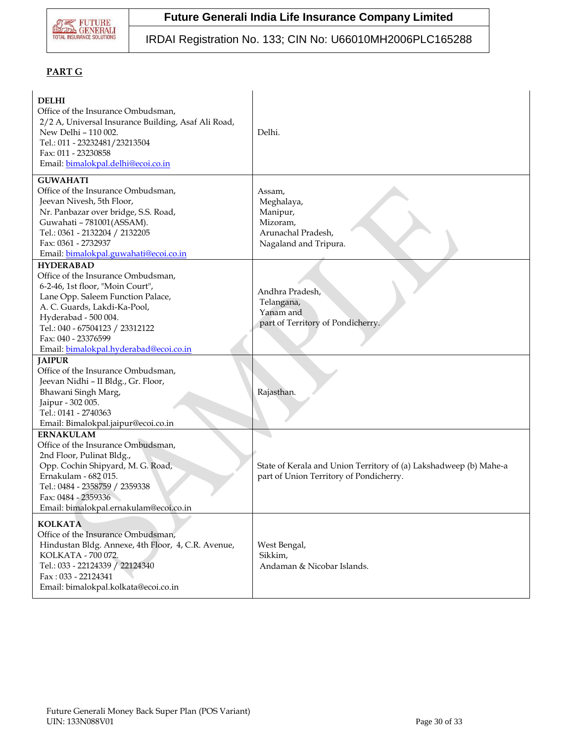

# IRDAI Registration No. 133; CIN No: U66010MH2006PLC165288

# **PART G**

| <b>DELHI</b><br>Office of the Insurance Ombudsman,<br>2/2 A, Universal Insurance Building, Asaf Ali Road,<br>New Delhi - 110 002.<br>Tel.: 011 - 23232481/23213504<br>Fax: 011 - 23230858<br>Email: bimalokpal.delhi@ecoi.co.in                                                             | Delhi.                                                                                                       |
|---------------------------------------------------------------------------------------------------------------------------------------------------------------------------------------------------------------------------------------------------------------------------------------------|--------------------------------------------------------------------------------------------------------------|
| <b>GUWAHATI</b><br>Office of the Insurance Ombudsman,<br>Jeevan Nivesh, 5th Floor,<br>Nr. Panbazar over bridge, S.S. Road,<br>Guwahati - 781001(ASSAM).<br>Tel.: 0361 - 2132204 / 2132205<br>Fax: 0361 - 2732937<br>Email: bimalokpal.guwahati@ecoi.co.in                                   | Assam,<br>Meghalaya,<br>Manipur,<br>Mizoram,<br>Arunachal Pradesh,<br>Nagaland and Tripura.                  |
| <b>HYDERABAD</b><br>Office of the Insurance Ombudsman,<br>6-2-46, 1st floor, "Moin Court",<br>Lane Opp. Saleem Function Palace,<br>A. C. Guards, Lakdi-Ka-Pool,<br>Hyderabad - 500 004.<br>Tel.: 040 - 67504123 / 23312122<br>Fax: 040 - 23376599<br>Email: bimalokpal.hyderabad@ecoi.co.in | Andhra Pradesh,<br>Telangana,<br>Yanam and<br>part of Territory of Pondicherry.                              |
| <b>JAIPUR</b><br>Office of the Insurance Ombudsman,<br>Jeevan Nidhi - II Bldg., Gr. Floor,<br>Bhawani Singh Marg,<br>Jaipur - 302 005.<br>Tel.: 0141 - 2740363<br>Email: Bimalokpal.jaipur@ecoi.co.in                                                                                       | Rajasthan.                                                                                                   |
| <b>ERNAKULAM</b><br>Office of the Insurance Ombudsman,<br>2nd Floor, Pulinat Bldg.,<br>Opp. Cochin Shipyard, M. G. Road,<br>Ernakulam - 682 015.<br>Tel.: 0484 - 2358759 / 2359338<br>Fax: 0484 - 2359336<br>Email: bimalokpal.ernakulam@ecoi.co.in                                         | State of Kerala and Union Territory of (a) Lakshadweep (b) Mahe-a<br>part of Union Territory of Pondicherry. |
| <b>KOLKATA</b><br>Office of the Insurance Ombudsman,<br>Hindustan Bldg. Annexe, 4th Floor, 4, C.R. Avenue,<br>KOLKATA - 700 072.<br>Tel.: 033 - 22124339 / 22124340<br>Fax: 033 - 22124341<br>Email: bimalokpal.kolkata@ecoi.co.in                                                          | West Bengal,<br>Sikkim,<br>Andaman & Nicobar Islands.                                                        |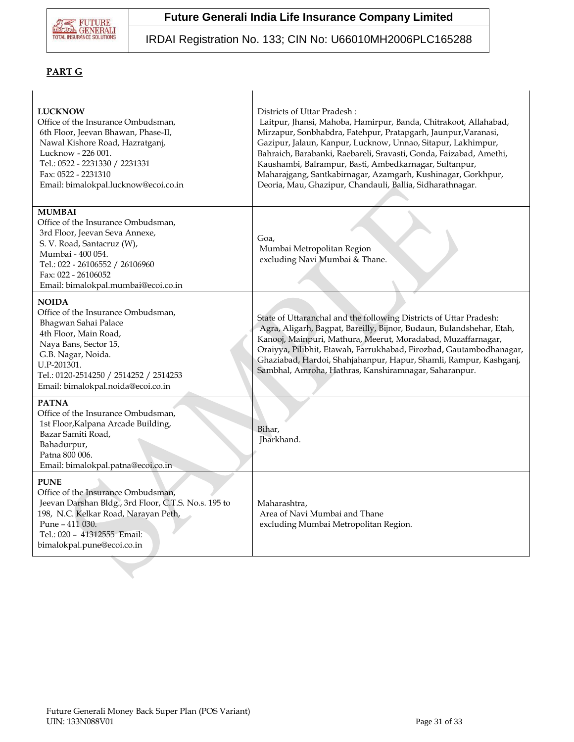

# IRDAI Registration No. 133; CIN No: U66010MH2006PLC165288

# **PART G**

| <b>LUCKNOW</b><br>Office of the Insurance Ombudsman,<br>6th Floor, Jeevan Bhawan, Phase-II,<br>Nawal Kishore Road, Hazratganj,<br>Lucknow - 226 001.<br>Tel.: 0522 - 2231330 / 2231331<br>Fax: 0522 - 2231310<br>Email: bimalokpal.lucknow@ecoi.co.in | Districts of Uttar Pradesh:<br>Laitpur, Jhansi, Mahoba, Hamirpur, Banda, Chitrakoot, Allahabad,<br>Mirzapur, Sonbhabdra, Fatehpur, Pratapgarh, Jaunpur, Varanasi,<br>Gazipur, Jalaun, Kanpur, Lucknow, Unnao, Sitapur, Lakhimpur,<br>Bahraich, Barabanki, Raebareli, Sravasti, Gonda, Faizabad, Amethi,<br>Kaushambi, Balrampur, Basti, Ambedkarnagar, Sultanpur,<br>Maharajgang, Santkabirnagar, Azamgarh, Kushinagar, Gorkhpur,<br>Deoria, Mau, Ghazipur, Chandauli, Ballia, Sidharathnagar. |
|-------------------------------------------------------------------------------------------------------------------------------------------------------------------------------------------------------------------------------------------------------|------------------------------------------------------------------------------------------------------------------------------------------------------------------------------------------------------------------------------------------------------------------------------------------------------------------------------------------------------------------------------------------------------------------------------------------------------------------------------------------------|
| <b>MUMBAI</b><br>Office of the Insurance Ombudsman,<br>3rd Floor, Jeevan Seva Annexe,<br>S. V. Road, Santacruz (W),<br>Mumbai - 400 054.<br>Tel.: 022 - 26106552 / 26106960<br>Fax: 022 - 26106052<br>Email: bimalokpal.mumbai@ecoi.co.in             | Goa,<br>Mumbai Metropolitan Region<br>excluding Navi Mumbai & Thane.                                                                                                                                                                                                                                                                                                                                                                                                                           |
| <b>NOIDA</b><br>Office of the Insurance Ombudsman,<br>Bhagwan Sahai Palace<br>4th Floor, Main Road,<br>Naya Bans, Sector 15,<br>G.B. Nagar, Noida.<br>U.P-201301.<br>Tel.: 0120-2514250 / 2514252 / 2514253<br>Email: bimalokpal.noida@ecoi.co.in     | State of Uttaranchal and the following Districts of Uttar Pradesh:<br>Agra, Aligarh, Bagpat, Bareilly, Bijnor, Budaun, Bulandshehar, Etah,<br>Kanooj, Mainpuri, Mathura, Meerut, Moradabad, Muzaffarnagar,<br>Oraiyya, Pilibhit, Etawah, Farrukhabad, Firozbad, Gautambodhanagar,<br>Ghaziabad, Hardoi, Shahjahanpur, Hapur, Shamli, Rampur, Kashganj,<br>Sambhal, Amroha, Hathras, Kanshiramnagar, Saharanpur.                                                                                |
| <b>PATNA</b><br>Office of the Insurance Ombudsman,<br>1st Floor, Kalpana Arcade Building,<br>Bazar Samiti Road,<br>Bahadurpur,<br>Patna 800 006.<br>Email: bimalokpal.patna@ecoi.co.in                                                                | Bihar,<br>Jharkhand.                                                                                                                                                                                                                                                                                                                                                                                                                                                                           |
| <b>PUNE</b><br>Office of the Insurance Ombudsman,<br>Jeevan Darshan Bldg., 3rd Floor, C.T.S. No.s. 195 to<br>198, N.C. Kelkar Road, Narayan Peth,<br>Pune - 411 030.<br>Tel.: 020 - 41312555 Email:<br>bimalokpal.pune@ecoi.co.in                     | Maharashtra,<br>Area of Navi Mumbai and Thane<br>excluding Mumbai Metropolitan Region.                                                                                                                                                                                                                                                                                                                                                                                                         |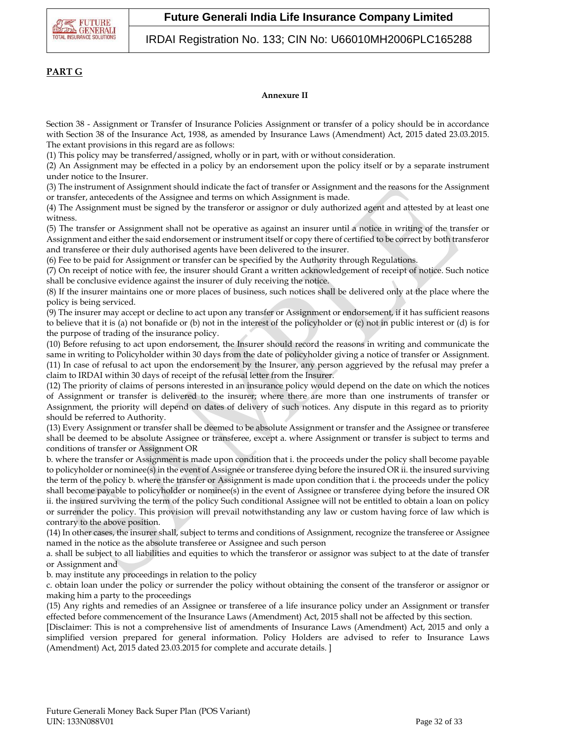

## IRDAI Registration No. 133; CIN No: U66010MH2006PLC165288

## **PART G**

#### **Annexure II**

Section 38 - Assignment or Transfer of Insurance Policies Assignment or transfer of a policy should be in accordance with Section 38 of the Insurance Act, 1938, as amended by Insurance Laws (Amendment) Act, 2015 dated 23.03.2015. The extant provisions in this regard are as follows:

(1) This policy may be transferred/assigned, wholly or in part, with or without consideration.

(2) An Assignment may be effected in a policy by an endorsement upon the policy itself or by a separate instrument under notice to the Insurer.

(3) The instrument of Assignment should indicate the fact of transfer or Assignment and the reasons for the Assignment or transfer, antecedents of the Assignee and terms on which Assignment is made.

(4) The Assignment must be signed by the transferor or assignor or duly authorized agent and attested by at least one witness.

(5) The transfer or Assignment shall not be operative as against an insurer until a notice in writing of the transfer or Assignment and either the said endorsement or instrument itself or copy there of certified to be correct by both transferor and transferee or their duly authorised agents have been delivered to the insurer.

(6) Fee to be paid for Assignment or transfer can be specified by the Authority through Regulations.

(7) On receipt of notice with fee, the insurer should Grant a written acknowledgement of receipt of notice. Such notice shall be conclusive evidence against the insurer of duly receiving the notice.

(8) If the insurer maintains one or more places of business, such notices shall be delivered only at the place where the policy is being serviced.

(9) The insurer may accept or decline to act upon any transfer or Assignment or endorsement, if it has sufficient reasons to believe that it is (a) not bonafide or (b) not in the interest of the policyholder or (c) not in public interest or (d) is for the purpose of trading of the insurance policy.

(10) Before refusing to act upon endorsement, the Insurer should record the reasons in writing and communicate the same in writing to Policyholder within 30 days from the date of policyholder giving a notice of transfer or Assignment. (11) In case of refusal to act upon the endorsement by the Insurer, any person aggrieved by the refusal may prefer a claim to IRDAI within 30 days of receipt of the refusal letter from the Insurer.

(12) The priority of claims of persons interested in an insurance policy would depend on the date on which the notices of Assignment or transfer is delivered to the insurer; where there are more than one instruments of transfer or Assignment, the priority will depend on dates of delivery of such notices. Any dispute in this regard as to priority should be referred to Authority.

(13) Every Assignment or transfer shall be deemed to be absolute Assignment or transfer and the Assignee or transferee shall be deemed to be absolute Assignee or transferee, except a. where Assignment or transfer is subject to terms and conditions of transfer or Assignment OR

b. where the transfer or Assignment is made upon condition that i. the proceeds under the policy shall become payable to policyholder or nominee(s) in the event of Assignee or transferee dying before the insured OR ii. the insured surviving the term of the policy b. where the transfer or Assignment is made upon condition that i. the proceeds under the policy shall become payable to policyholder or nominee(s) in the event of Assignee or transferee dying before the insured OR ii. the insured surviving the term of the policy Such conditional Assignee will not be entitled to obtain a loan on policy or surrender the policy. This provision will prevail notwithstanding any law or custom having force of law which is contrary to the above position.

(14) In other cases, the insurer shall, subject to terms and conditions of Assignment, recognize the transferee or Assignee named in the notice as the absolute transferee or Assignee and such person

a. shall be subject to all liabilities and equities to which the transferor or assignor was subject to at the date of transfer or Assignment and

b. may institute any proceedings in relation to the policy

c. obtain loan under the policy or surrender the policy without obtaining the consent of the transferor or assignor or making him a party to the proceedings

(15) Any rights and remedies of an Assignee or transferee of a life insurance policy under an Assignment or transfer effected before commencement of the Insurance Laws (Amendment) Act, 2015 shall not be affected by this section.

[Disclaimer: This is not a comprehensive list of amendments of Insurance Laws (Amendment) Act, 2015 and only a simplified version prepared for general information. Policy Holders are advised to refer to Insurance Laws (Amendment) Act, 2015 dated 23.03.2015 for complete and accurate details. ]